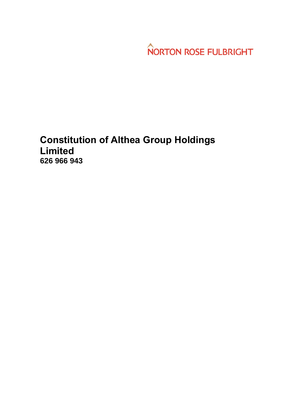**NORTON ROSE FULBRIGHT** 

# **Constitution of Althea Group Holdings Limited 626 966 943**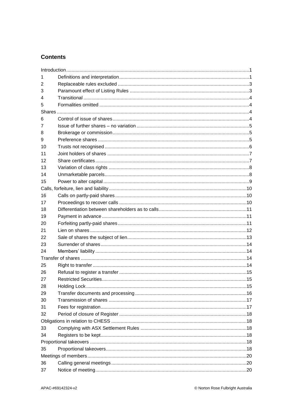### **Contents**

| 1  |  |  |  |
|----|--|--|--|
| 2  |  |  |  |
| 3  |  |  |  |
| 4  |  |  |  |
| 5  |  |  |  |
|    |  |  |  |
| 6  |  |  |  |
| 7  |  |  |  |
| 8  |  |  |  |
| 9  |  |  |  |
| 10 |  |  |  |
| 11 |  |  |  |
| 12 |  |  |  |
| 13 |  |  |  |
| 14 |  |  |  |
| 15 |  |  |  |
|    |  |  |  |
| 16 |  |  |  |
| 17 |  |  |  |
| 18 |  |  |  |
| 19 |  |  |  |
| 20 |  |  |  |
| 21 |  |  |  |
| 22 |  |  |  |
| 23 |  |  |  |
| 24 |  |  |  |
|    |  |  |  |
| 25 |  |  |  |
| 26 |  |  |  |
| 27 |  |  |  |
| 28 |  |  |  |
| 29 |  |  |  |
| 30 |  |  |  |
| 31 |  |  |  |
| 32 |  |  |  |
|    |  |  |  |
| 33 |  |  |  |
| 34 |  |  |  |
|    |  |  |  |
| 35 |  |  |  |
|    |  |  |  |
| 36 |  |  |  |
| 37 |  |  |  |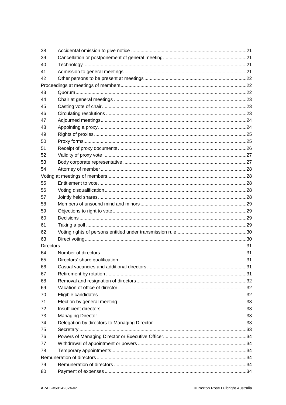| 38       |  |  |  |
|----------|--|--|--|
| 39       |  |  |  |
| 40       |  |  |  |
| 41       |  |  |  |
| 42       |  |  |  |
|          |  |  |  |
| 43       |  |  |  |
| 44       |  |  |  |
| 45       |  |  |  |
| 46       |  |  |  |
| 47       |  |  |  |
| 48       |  |  |  |
| 49       |  |  |  |
| 50       |  |  |  |
| 51       |  |  |  |
| 52       |  |  |  |
| 53       |  |  |  |
| 54       |  |  |  |
|          |  |  |  |
| 55       |  |  |  |
| 56       |  |  |  |
| 57       |  |  |  |
| 58       |  |  |  |
| 59       |  |  |  |
|          |  |  |  |
| 60       |  |  |  |
| 61       |  |  |  |
| 62       |  |  |  |
| 63       |  |  |  |
|          |  |  |  |
| 64       |  |  |  |
| 65       |  |  |  |
| 66       |  |  |  |
| 67       |  |  |  |
| 68       |  |  |  |
| 69       |  |  |  |
| 70       |  |  |  |
| 71       |  |  |  |
| 72       |  |  |  |
| 73       |  |  |  |
| 74       |  |  |  |
| 75       |  |  |  |
| 76       |  |  |  |
| 77       |  |  |  |
| 78       |  |  |  |
|          |  |  |  |
| 79<br>80 |  |  |  |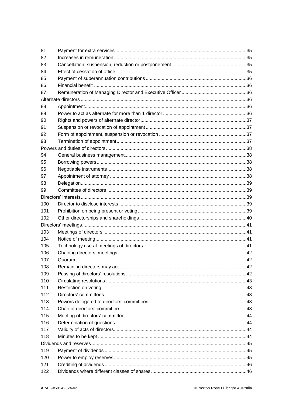| 81  |  |
|-----|--|
| 82  |  |
| 83  |  |
| 84  |  |
| 85  |  |
| 86  |  |
| 87  |  |
|     |  |
| 88  |  |
| 89  |  |
| 90  |  |
| 91  |  |
| 92  |  |
| 93  |  |
|     |  |
| 94  |  |
| 95  |  |
| 96  |  |
| 97  |  |
| 98  |  |
| 99  |  |
|     |  |
| 100 |  |
| 101 |  |
| 102 |  |
|     |  |
| 103 |  |
| 104 |  |
| 105 |  |
| 106 |  |
| 107 |  |
| 108 |  |
| 109 |  |
| 110 |  |
| 111 |  |
| 112 |  |
| 113 |  |
| 114 |  |
| 115 |  |
| 116 |  |
| 117 |  |
| 118 |  |
|     |  |
| 119 |  |
| 120 |  |
| 121 |  |
| 122 |  |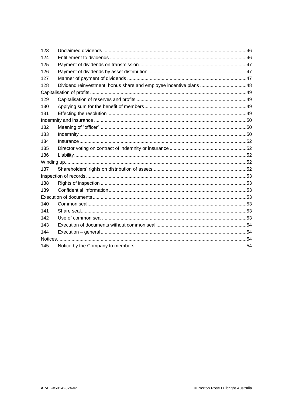| 123 |                                                                    |  |  |
|-----|--------------------------------------------------------------------|--|--|
| 124 |                                                                    |  |  |
| 125 |                                                                    |  |  |
| 126 |                                                                    |  |  |
| 127 |                                                                    |  |  |
| 128 | Dividend reinvestment, bonus share and employee incentive plans 48 |  |  |
|     |                                                                    |  |  |
| 129 |                                                                    |  |  |
| 130 |                                                                    |  |  |
| 131 |                                                                    |  |  |
|     |                                                                    |  |  |
| 132 |                                                                    |  |  |
| 133 |                                                                    |  |  |
| 134 |                                                                    |  |  |
| 135 |                                                                    |  |  |
| 136 |                                                                    |  |  |
|     |                                                                    |  |  |
| 137 |                                                                    |  |  |
|     |                                                                    |  |  |
| 138 |                                                                    |  |  |
| 139 |                                                                    |  |  |
|     |                                                                    |  |  |
| 140 |                                                                    |  |  |
| 141 |                                                                    |  |  |
| 142 |                                                                    |  |  |
| 143 |                                                                    |  |  |
| 144 |                                                                    |  |  |
|     |                                                                    |  |  |
| 145 |                                                                    |  |  |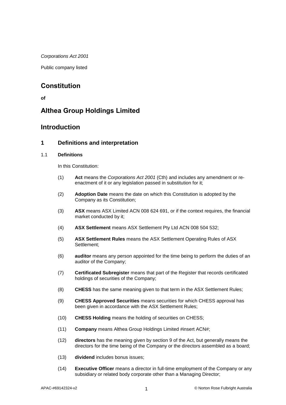*Corporations Act 2001*

Public company listed

# **Constitution**

**of**

# **Althea Group Holdings Limited**

### **Introduction**

### **1 Definitions and interpretation**

### 1.1 **Definitions**

In this Constitution:

- (1) **Act** means the *Corporations Act 2001* (Cth) and includes any amendment or reenactment of it or any legislation passed in substitution for it;
- (2) **Adoption Date** means the date on which this Constitution is adopted by the Company as its Constitution;
- (3) **ASX** means ASX Limited ACN 008 624 691, or if the context requires, the financial market conducted by it;
- (4) **ASX Settlement** means ASX Settlement Pty Ltd ACN 008 504 532;
- (5) **ASX Settlement Rules** means the ASX Settlement Operating Rules of ASX Settlement;
- (6) **auditor** means any person appointed for the time being to perform the duties of an auditor of the Company;
- (7) **Certificated Subregister** means that part of the Register that records certificated holdings of securities of the Company;
- (8) **CHESS** has the same meaning given to that term in the ASX Settlement Rules;
- (9) **CHESS Approved Securities** means securities for which CHESS approval has been given in accordance with the ASX Settlement Rules;
- (10) **CHESS Holding** means the holding of securities on CHESS;
- (11) **Company** means Althea Group Holdings Limited #insert ACN#;
- (12) **directors** has the meaning given by section 9 of the Act, but generally means the directors for the time being of the Company or the directors assembled as a board;
- (13) **dividend** includes bonus issues;
- (14) **Executive Officer** means a director in full-time employment of the Company or any subsidiary or related body corporate other than a Managing Director;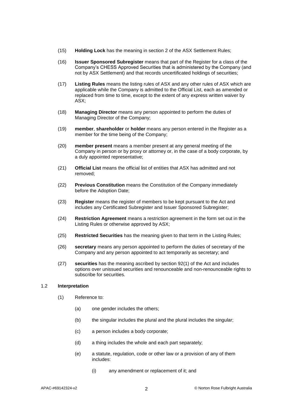- (15) **Holding Lock** has the meaning in section 2 of the ASX Settlement Rules;
- (16) **Issuer Sponsored Subregister** means that part of the Register for a class of the Company's CHESS Approved Securities that is administered by the Company (and not by ASX Settlement) and that records uncertificated holdings of securities;
- (17) **Listing Rules** means the listing rules of ASX and any other rules of ASX which are applicable while the Company is admitted to the Official List, each as amended or replaced from time to time, except to the extent of any express written waiver by ASX;
- (18) **Managing Director** means any person appointed to perform the duties of Managing Director of the Company;
- (19) **member**, **shareholder** or **holder** means any person entered in the Register as a member for the time being of the Company;
- (20) **member present** means a member present at any general meeting of the Company in person or by proxy or attorney or, in the case of a body corporate, by a duly appointed representative;
- (21) **Official List** means the official list of entities that ASX has admitted and not removed;
- (22) **Previous Constitution** means the Constitution of the Company immediately before the Adoption Date;
- (23) **Register** means the register of members to be kept pursuant to the Act and includes any Certificated Subregister and Issuer Sponsored Subregister;
- (24) **Restriction Agreement** means a restriction agreement in the form set out in the Listing Rules or otherwise approved by ASX;
- (25) **Restricted Securities** has the meaning given to that term in the Listing Rules;
- (26) **secretary** means any person appointed to perform the duties of secretary of the Company and any person appointed to act temporarily as secretary; and
- (27) **securities** has the meaning ascribed by section 92(1) of the Act and includes options over unissued securities and renounceable and non-renounceable rights to subscribe for securities.

#### 1.2 **Interpretation**

- (1) Reference to:
	- (a) one gender includes the others;
	- (b) the singular includes the plural and the plural includes the singular;
	- (c) a person includes a body corporate;
	- (d) a thing includes the whole and each part separately;
	- (e) a statute, regulation, code or other law or a provision of any of them includes:
		- (i) any amendment or replacement of it; and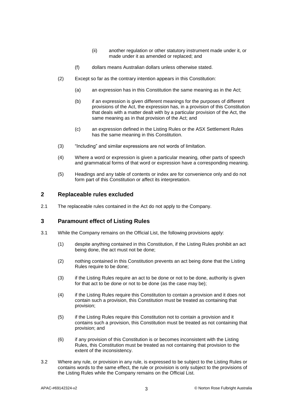- (ii) another regulation or other statutory instrument made under it, or made under it as amended or replaced; and
- (f) dollars means Australian dollars unless otherwise stated.
- (2) Except so far as the contrary intention appears in this Constitution:
	- (a) an expression has in this Constitution the same meaning as in the Act;
	- (b) if an expression is given different meanings for the purposes of different provisions of the Act, the expression has, in a provision of this Constitution that deals with a matter dealt with by a particular provision of the Act, the same meaning as in that provision of the Act; and
	- (c) an expression defined in the Listing Rules or the ASX Settlement Rules has the same meaning in this Constitution.
- (3) "Including" and similar expressions are not words of limitation.
- (4) Where a word or expression is given a particular meaning, other parts of speech and grammatical forms of that word or expression have a corresponding meaning.
- (5) Headings and any table of contents or index are for convenience only and do not form part of this Constitution or affect its interpretation.

#### **2 Replaceable rules excluded**

2.1 The replaceable rules contained in the Act do not apply to the Company.

### **3 Paramount effect of Listing Rules**

- 3.1 While the Company remains on the Official List, the following provisions apply:
	- (1) despite anything contained in this Constitution, if the Listing Rules prohibit an act being done, the act must not be done;
	- (2) nothing contained in this Constitution prevents an act being done that the Listing Rules require to be done;
	- (3) if the Listing Rules require an act to be done or not to be done, authority is given for that act to be done or not to be done (as the case may be);
	- (4) if the Listing Rules require this Constitution to contain a provision and it does not contain such a provision, this Constitution must be treated as containing that provision;
	- (5) if the Listing Rules require this Constitution not to contain a provision and it contains such a provision, this Constitution must be treated as not containing that provision; and
	- (6) if any provision of this Constitution is or becomes inconsistent with the Listing Rules, this Constitution must be treated as not containing that provision to the extent of the inconsistency.
- 3.2 Where any rule, or provision in any rule, is expressed to be subject to the Listing Rules or contains words to the same effect, the rule or provision is only subject to the provisions of the Listing Rules while the Company remains on the Official List.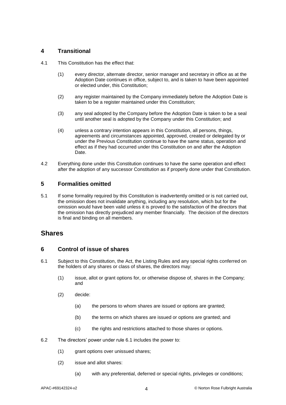### **4 Transitional**

- 4.1 This Constitution has the effect that:
	- (1) every director, alternate director, senior manager and secretary in office as at the Adoption Date continues in office, subject to, and is taken to have been appointed or elected under, this Constitution;
	- (2) any register maintained by the Company immediately before the Adoption Date is taken to be a register maintained under this Constitution;
	- (3) any seal adopted by the Company before the Adoption Date is taken to be a seal until another seal is adopted by the Company under this Constitution; and
	- (4) unless a contrary intention appears in this Constitution, all persons, things, agreements and circumstances appointed, approved, created or delegated by or under the Previous Constitution continue to have the same status, operation and effect as if they had occurred under this Constitution on and after the Adoption Date.
- 4.2 Everything done under this Constitution continues to have the same operation and effect after the adoption of any successor Constitution as if properly done under that Constitution.

### **5 Formalities omitted**

5.1 If some formality required by this Constitution is inadvertently omitted or is not carried out, the omission does not invalidate anything, including any resolution, which but for the omission would have been valid unless it is proved to the satisfaction of the directors that the omission has directly prejudiced any member financially. The decision of the directors is final and binding on all members.

### <span id="page-8-2"></span>**Shares**

### **6 Control of issue of shares**

- <span id="page-8-0"></span>6.1 Subject to this Constitution, the Act, the Listing Rules and any special rights conferred on the holders of any shares or class of shares, the directors may:
	- (1) issue, allot or grant options for, or otherwise dispose of, shares in the Company; and
	- (2) decide:
		- (a) the persons to whom shares are issued or options are granted;
		- (b) the terms on which shares are issued or options are granted; and
		- (c) the rights and restrictions attached to those shares or options.
- <span id="page-8-1"></span>6.2 The directors' power under rule [6.1](#page-8-0) includes the power to:
	- (1) grant options over unissued shares;
	- (2) issue and allot shares:
		- (a) with any preferential, deferred or special rights, privileges or conditions;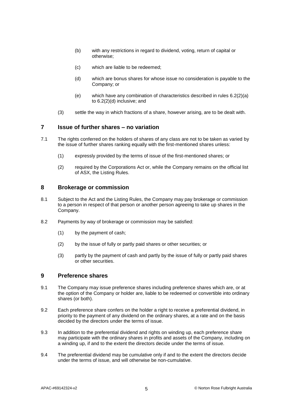- (b) with any restrictions in regard to dividend, voting, return of capital or otherwise;
- <span id="page-9-0"></span>(c) which are liable to be redeemed;
- (d) which are bonus shares for whose issue no consideration is payable to the Company; or
- (e) which have any combination of characteristics described in rules [6.2\(2\)\(a\)](#page-8-1) to [6.2\(2\)\(d\)](#page-9-0) inclusive; and
- (3) settle the way in which fractions of a share, however arising, are to be dealt with.

### **7 Issue of further shares – no variation**

- 7.1 The rights conferred on the holders of shares of any class are not to be taken as varied by the issue of further shares ranking equally with the first-mentioned shares unless:
	- (1) expressly provided by the terms of issue of the first-mentioned shares; or
	- (2) required by the Corporations Act or, while the Company remains on the official list of ASX, the Listing Rules.

### **8 Brokerage or commission**

- 8.1 Subject to the Act and the Listing Rules, the Company may pay brokerage or commission to a person in respect of that person or another person agreeing to take up shares in the Company.
- 8.2 Payments by way of brokerage or commission may be satisfied:
	- (1) by the payment of cash;
	- (2) by the issue of fully or partly paid shares or other securities; or
	- (3) partly by the payment of cash and partly by the issue of fully or partly paid shares or other securities.

### **9 Preference shares**

- 9.1 The Company may issue preference shares including preference shares which are, or at the option of the Company or holder are, liable to be redeemed or convertible into ordinary shares (or both).
- 9.2 Each preference share confers on the holder a right to receive a preferential dividend, in priority to the payment of any dividend on the ordinary shares, at a rate and on the basis decided by the directors under the terms of issue.
- 9.3 In addition to the preferential dividend and rights on winding up, each preference share may participate with the ordinary shares in profits and assets of the Company, including on a winding up, if and to the extent the directors decide under the terms of issue.
- 9.4 The preferential dividend may be cumulative only if and to the extent the directors decide under the terms of issue, and will otherwise be non-cumulative.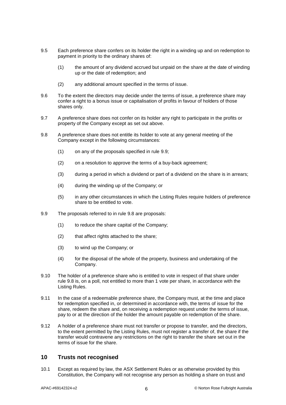- 9.5 Each preference share confers on its holder the right in a winding up and on redemption to payment in priority to the ordinary shares of:
	- (1) the amount of any dividend accrued but unpaid on the share at the date of winding up or the date of redemption; and
	- (2) any additional amount specified in the terms of issue.
- 9.6 To the extent the directors may decide under the terms of issue, a preference share may confer a right to a bonus issue or capitalisation of profits in favour of holders of those shares only.
- 9.7 A preference share does not confer on its holder any right to participate in the profits or property of the Company except as set out above.
- <span id="page-10-1"></span>9.8 A preference share does not entitle its holder to vote at any general meeting of the Company except in the following circumstances:
	- (1) on any of the proposals specified in rule [9.9;](#page-10-0)
	- (2) on a resolution to approve the terms of a buy-back agreement;
	- (3) during a period in which a dividend or part of a dividend on the share is in arrears;
	- (4) during the winding up of the Company; or
	- (5) in any other circumstances in which the Listing Rules require holders of preference share to be entitled to vote.
- <span id="page-10-0"></span>9.9 The proposals referred to in rule [9.8](#page-10-1) are proposals:
	- (1) to reduce the share capital of the Company;
	- (2) that affect rights attached to the share;
	- (3) to wind up the Company; or
	- (4) for the disposal of the whole of the property, business and undertaking of the Company.
- 9.10 The holder of a preference share who is entitled to vote in respect of that share under rule [9.8](#page-10-1) is, on a poll, not entitled to more than 1 vote per share, in accordance with the Listing Rules.
- 9.11 In the case of a redeemable preference share, the Company must, at the time and place for redemption specified in, or determined in accordance with, the terms of issue for the share, redeem the share and, on receiving a redemption request under the terms of issue, pay to or at the direction of the holder the amount payable on redemption of the share.
- 9.12 A holder of a preference share must not transfer or propose to transfer, and the directors, to the extent permitted by the Listing Rules, must not register a transfer of, the share if the transfer would contravene any restrictions on the right to transfer the share set out in the terms of issue for the share.

### <span id="page-10-2"></span>**10 Trusts not recognised**

10.1 Except as required by law, the ASX Settlement Rules or as otherwise provided by this Constitution, the Company will not recognise any person as holding a share on trust and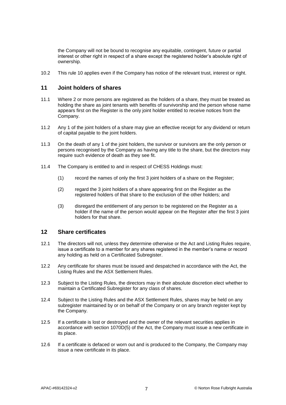the Company will not be bound to recognise any equitable, contingent, future or partial interest or other right in respect of a share except the registered holder's absolute right of ownership.

10.2 This rule [10](#page-10-2) applies even if the Company has notice of the relevant trust, interest or right.

### **11 Joint holders of shares**

- 11.1 Where 2 or more persons are registered as the holders of a share, they must be treated as holding the share as joint tenants with benefits of survivorship and the person whose name appears first on the Register is the only joint holder entitled to receive notices from the Company.
- 11.2 Any 1 of the joint holders of a share may give an effective receipt for any dividend or return of capital payable to the joint holders.
- 11.3 On the death of any 1 of the joint holders, the survivor or survivors are the only person or persons recognised by the Company as having any title to the share, but the directors may require such evidence of death as they see fit.
- 11.4 The Company is entitled to and in respect of CHESS Holdings must:
	- (1) record the names of only the first 3 joint holders of a share on the Register;
	- (2) regard the 3 joint holders of a share appearing first on the Register as the registered holders of that share to the exclusion of the other holders; and
	- (3) disregard the entitlement of any person to be registered on the Register as a holder if the name of the person would appear on the Register after the first 3 joint holders for that share.

#### **12 Share certificates**

- 12.1 The directors will not, unless they determine otherwise or the Act and Listing Rules require, issue a certificate to a member for any shares registered in the member's name or record any holding as held on a Certificated Subregister.
- 12.2 Any certificate for shares must be issued and despatched in accordance with the Act, the Listing Rules and the ASX Settlement Rules.
- 12.3 Subject to the Listing Rules, the directors may in their absolute discretion elect whether to maintain a Certificated Subregister for any class of shares.
- 12.4 Subject to the Listing Rules and the ASX Settlement Rules, shares may be held on any subregister maintained by or on behalf of the Company or on any branch register kept by the Company.
- 12.5 If a certificate is lost or destroyed and the owner of the relevant securities applies in accordance with section 1070D(5) of the Act, the Company must issue a new certificate in its place.
- 12.6 If a certificate is defaced or worn out and is produced to the Company, the Company may issue a new certificate in its place.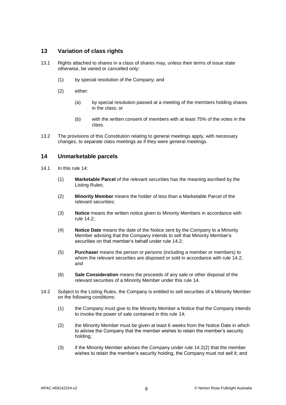### **13 Variation of class rights**

- 13.1 Rights attached to shares in a class of shares may, unless their terms of issue state otherwise, be varied or cancelled only:
	- (1) by special resolution of the Company; and
	- (2) either:
		- (a) by special resolution passed at a meeting of the members holding shares in the class; or
		- (b) with the written consent of members with at least 75% of the votes in the class.
- 13.2 The provisions of this Constitution relating to general meetings apply, with necessary changes, to separate class meetings as if they were general meetings.

### <span id="page-12-0"></span>**14 Unmarketable parcels**

- 14.1 In this rule [14:](#page-12-0)
	- (1) **Marketable Parcel** of the relevant securities has the meaning ascribed by the Listing Rules;
	- (2) **Minority Member** means the holder of less than a Marketable Parcel of the relevant securities;
	- (3) **Notice** means the written notice given to Minority Members in accordance with rule [14.2;](#page-12-1)
	- (4) **Notice Date** means the date of the Notice sent by the Company to a Minority Member advising that the Company intends to sell that Minority Member's securities on that member's behalf under rule [14.2;](#page-12-1)
	- (5) **Purchaser** means the person or persons (including a member or members) to whom the relevant securities are disposed or sold in accordance with rule [14.2;](#page-12-1) and
	- (6) **Sale Consideration** means the proceeds of any sale or other disposal of the relevant securities of a Minority Member under this rule [14.](#page-12-0)
- <span id="page-12-3"></span><span id="page-12-2"></span><span id="page-12-1"></span>14.2 Subject to the Listing Rules, the Company is entitled to sell securities of a Minority Member on the following conditions:
	- (1) the Company must give to the Minority Member a Notice that the Company intends to invoke the power of sale contained in this rule [14;](#page-12-0)
	- (2) the Minority Member must be given at least 6 weeks from the Notice Date in which to advise the Company that the member wishes to retain the member's security holding;
	- (3) if the Minority Member advises the Company under rule [14.2\(2\)](#page-12-2) that the member wishes to retain the member's security holding, the Company must not sell it; and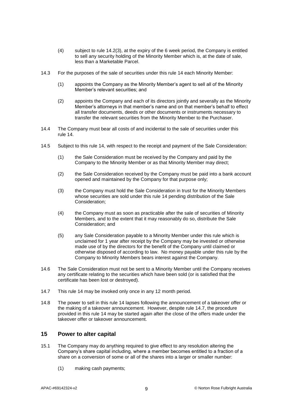- (4) subject to rule [14.2\(3\),](#page-12-3) at the expiry of the 6 week period, the Company is entitled to sell any security holding of the Minority Member which is, at the date of sale, less than a Marketable Parcel.
- 14.3 For the purposes of the sale of securities under this rule [14](#page-12-0) each Minority Member:
	- (1) appoints the Company as the Minority Member's agent to sell all of the Minority Member's relevant securities; and
	- (2) appoints the Company and each of its directors jointly and severally as the Minority Member's attorneys in that member's name and on that member's behalf to effect all transfer documents, deeds or other documents or instruments necessary to transfer the relevant securities from the Minority Member to the Purchaser.
- 14.4 The Company must bear all costs of and incidental to the sale of securities under this rule [14.](#page-12-0)
- 14.5 Subject to this rule [14,](#page-12-0) with respect to the receipt and payment of the Sale Consideration:
	- (1) the Sale Consideration must be received by the Company and paid by the Company to the Minority Member or as that Minority Member may direct;
	- (2) the Sale Consideration received by the Company must be paid into a bank account opened and maintained by the Company for that purpose only;
	- (3) the Company must hold the Sale Consideration in trust for the Minority Members whose securities are sold under this rule [14](#page-12-0) pending distribution of the Sale Consideration;
	- (4) the Company must as soon as practicable after the sale of securities of Minority Members, and to the extent that it may reasonably do so, distribute the Sale Consideration; and
	- (5) any Sale Consideration payable to a Minority Member under this rule which is unclaimed for 1 year after receipt by the Company may be invested or otherwise made use of by the directors for the benefit of the Company until claimed or otherwise disposed of according to law. No money payable under this rule by the Company to Minority Members bears interest against the Company.
- 14.6 The Sale Consideration must not be sent to a Minority Member until the Company receives any certificate relating to the securities which have been sold (or is satisfied that the certificate has been lost or destroyed).
- <span id="page-13-0"></span>14.7 This rule [14](#page-12-0) may be invoked only once in any 12 month period.
- 14.8 The power to sell in this rule [14](#page-12-0) lapses following the announcement of a takeover offer or the making of a takeover announcement. However, despite rule [14.7,](#page-13-0) the procedure provided in this rule [14](#page-12-0) may be started again after the close of the offers made under the takeover offer or takeover announcement.

### **15 Power to alter capital**

- 15.1 The Company may do anything required to give effect to any resolution altering the Company's share capital including, where a member becomes entitled to a fraction of a share on a conversion of some or all of the shares into a larger or smaller number:
	- (1) making cash payments;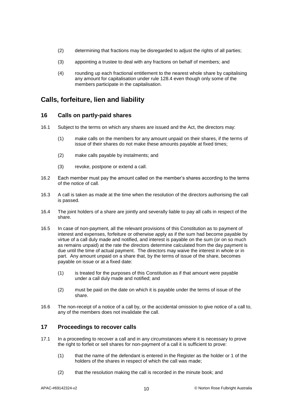- (2) determining that fractions may be disregarded to adjust the rights of all parties;
- (3) appointing a trustee to deal with any fractions on behalf of members; and
- (4) rounding up each fractional entitlement to the nearest whole share by capitalising any amount for capitalisation under rule [128.4](#page-52-0) even though only some of the members participate in the capitalisation.

# **Calls, forfeiture, lien and liability**

### **16 Calls on partly-paid shares**

- 16.1 Subject to the terms on which any shares are issued and the Act, the directors may:
	- (1) make calls on the members for any amount unpaid on their shares, if the terms of issue of their shares do not make these amounts payable at fixed times;
	- (2) make calls payable by instalments; and
	- (3) revoke, postpone or extend a call.
- 16.2 Each member must pay the amount called on the member's shares according to the terms of the notice of call.
- 16.3 A call is taken as made at the time when the resolution of the directors authorising the call is passed.
- 16.4 The joint holders of a share are jointly and severally liable to pay all calls in respect of the share.
- 16.5 In case of non-payment, all the relevant provisions of this Constitution as to payment of interest and expenses, forfeiture or otherwise apply as if the sum had become payable by virtue of a call duly made and notified, and interest is payable on the sum (or on so much as remains unpaid) at the rate the directors determine calculated from the day payment is due until the time of actual payment. The directors may waive the interest in whole or in part. Any amount unpaid on a share that, by the terms of issue of the share, becomes payable on issue or at a fixed date:
	- (1) is treated for the purposes of this Constitution as if that amount were payable under a call duly made and notified; and
	- (2) must be paid on the date on which it is payable under the terms of issue of the share.
- 16.6 The non-receipt of a notice of a call by, or the accidental omission to give notice of a call to, any of the members does not invalidate the call.

### **17 Proceedings to recover calls**

- <span id="page-14-0"></span>17.1 In a proceeding to recover a call and in any circumstances where it is necessary to prove the right to forfeit or sell shares for non-payment of a call it is sufficient to prove:
	- (1) that the name of the defendant is entered in the Register as the holder or 1 of the holders of the shares in respect of which the call was made;
	- (2) that the resolution making the call is recorded in the minute book; and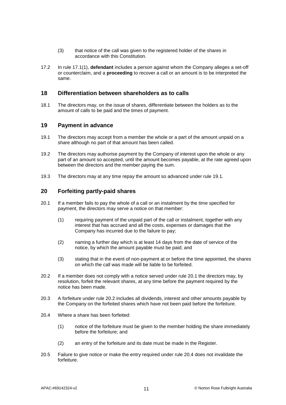- (3) that notice of the call was given to the registered holder of the shares in accordance with this Constitution.
- 17.2 In rule [17.1\(1\),](#page-14-0) **defendant** includes a person against whom the Company alleges a set-off or counterclaim, and a **proceeding** to recover a call or an amount is to be interpreted the same.

### **18 Differentiation between shareholders as to calls**

18.1 The directors may, on the issue of shares, differentiate between the holders as to the amount of calls to be paid and the times of payment.

### **19 Payment in advance**

- <span id="page-15-0"></span>19.1 The directors may accept from a member the whole or a part of the amount unpaid on a share although no part of that amount has been called.
- 19.2 The directors may authorise payment by the Company of interest upon the whole or any part of an amount so accepted, until the amount becomes payable, at the rate agreed upon between the directors and the member paying the sum.
- 19.3 The directors may at any time repay the amount so advanced under rule [19.1.](#page-15-0)

### **20 Forfeiting partly-paid shares**

- <span id="page-15-1"></span>20.1 If a member fails to pay the whole of a call or an instalment by the time specified for payment, the directors may serve a notice on that member:
	- (1) requiring payment of the unpaid part of the call or instalment, together with any interest that has accrued and all the costs, expenses or damages that the Company has incurred due to the failure to pay;
	- (2) naming a further day which is at least 14 days from the date of service of the notice, by which the amount payable must be paid; and
	- (3) stating that in the event of non-payment at or before the time appointed, the shares on which the call was made will be liable to be forfeited.
- <span id="page-15-2"></span>20.2 If a member does not comply with a notice served under rule [20.1](#page-15-1) the directors may, by resolution, forfeit the relevant shares, at any time before the payment required by the notice has been made.
- 20.3 A forfeiture under rule [20.2](#page-15-2) includes all dividends, interest and other amounts payable by the Company on the forfeited shares which have not been paid before the forfeiture.
- <span id="page-15-3"></span>20.4 Where a share has been forfeited:
	- (1) notice of the forfeiture must be given to the member holding the share immediately before the forfeiture; and
	- (2) an entry of the forfeiture and its date must be made in the Register.
- 20.5 Failure to give notice or make the entry required under rule [20.4](#page-15-3) does not invalidate the forfeiture.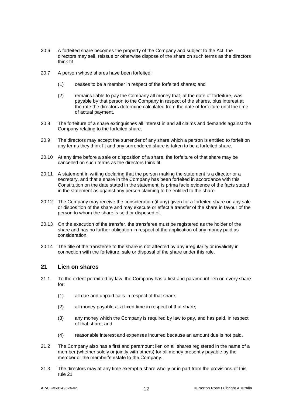- 20.6 A forfeited share becomes the property of the Company and subject to the Act, the directors may sell, reissue or otherwise dispose of the share on such terms as the directors think fit.
- 20.7 A person whose shares have been forfeited:
	- (1) ceases to be a member in respect of the forfeited shares; and
	- (2) remains liable to pay the Company all money that, at the date of forfeiture, was payable by that person to the Company in respect of the shares, plus interest at the rate the directors determine calculated from the date of forfeiture until the time of actual payment.
- 20.8 The forfeiture of a share extinguishes all interest in and all claims and demands against the Company relating to the forfeited share.
- 20.9 The directors may accept the surrender of any share which a person is entitled to forfeit on any terms they think fit and any surrendered share is taken to be a forfeited share.
- 20.10 At any time before a sale or disposition of a share, the forfeiture of that share may be cancelled on such terms as the directors think fit.
- 20.11 A statement in writing declaring that the person making the statement is a director or a secretary, and that a share in the Company has been forfeited in accordance with this Constitution on the date stated in the statement, is prima facie evidence of the facts stated in the statement as against any person claiming to be entitled to the share.
- 20.12 The Company may receive the consideration (if any) given for a forfeited share on any sale or disposition of the share and may execute or effect a transfer of the share in favour of the person to whom the share is sold or disposed of.
- 20.13 On the execution of the transfer, the transferee must be registered as the holder of the share and has no further obligation in respect of the application of any money paid as consideration.
- 20.14 The title of the transferee to the share is not affected by any irregularity or invalidity in connection with the forfeiture, sale or disposal of the share under this rule.

### <span id="page-16-1"></span><span id="page-16-0"></span>**21 Lien on shares**

- 21.1 To the extent permitted by law, the Company has a first and paramount lien on every share for:
	- (1) all due and unpaid calls in respect of that share;
	- (2) all money payable at a fixed time in respect of that share;
	- (3) any money which the Company is required by law to pay, and has paid, in respect of that share; and
	- (4) reasonable interest and expenses incurred because an amount due is not paid.
- <span id="page-16-2"></span>21.2 The Company also has a first and paramount lien on all shares registered in the name of a member (whether solely or jointly with others) for all money presently payable by the member or the member's estate to the Company.
- 21.3 The directors may at any time exempt a share wholly or in part from the provisions of this rule [21.](#page-16-0)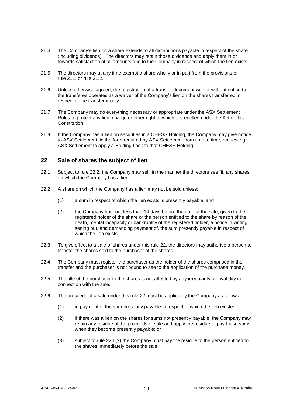- 21.4 The Company's lien on a share extends to all distributions payable in respect of the share (including dividends). The directors may retain those dividends and apply them in or towards satisfaction of all amounts due to the Company in respect of which the lien exists.
- 21.5 The directors may at any time exempt a share wholly or in part from the provisions of rule [21.1](#page-16-1) or rule [21.2.](#page-16-2)
- 21.6 Unless otherwise agreed, the registration of a transfer document with or without notice to the transferee operates as a waiver of the Company's lien on the shares transferred in respect of the transferor only.
- 21.7 The Company may do everything necessary or appropriate under the ASX Settlement Rules to protect any lien, charge or other right to which it is entitled under the Act or this Constitution.
- 21.8 If the Company has a lien on securities in a CHESS Holding, the Company may give notice to ASX Settlement, in the form required by ASX Settlement from time to time, requesting ASX Settlement to apply a Holding Lock to that CHESS Holding.

### <span id="page-17-1"></span>**22 Sale of shares the subject of lien**

- 22.1 Subject to rule [22.2,](#page-17-0) the Company may sell, in the manner the directors see fit, any shares on which the Company has a lien.
- <span id="page-17-0"></span>22.2 A share on which the Company has a lien may not be sold unless:
	- (1) a sum in respect of which the lien exists is presently payable; and
	- (2) the Company has, not less than 14 days before the date of the sale, given to the registered holder of the share or the person entitled to the share by reason of the death, mental incapacity or bankruptcy of the registered holder, a notice in writing setting out, and demanding payment of, the sum presently payable in respect of which the lien exists.
- 22.3 To give effect to a sale of shares under this rule [22,](#page-17-1) the directors may authorise a person to transfer the shares sold to the purchaser of the shares.
- 22.4 The Company must register the purchaser as the holder of the shares comprised in the transfer and the purchaser is not bound to see to the application of the purchase money.
- 22.5 The title of the purchaser to the shares is not affected by any irregularity or invalidity in connection with the sale.
- <span id="page-17-2"></span>22.6 The proceeds of a sale under this rule [22](#page-17-1) must be applied by the Company as follows:
	- (1) in payment of the sum presently payable in respect of which the lien existed;
	- (2) if there was a lien on the shares for sums not presently payable, the Company may retain any residue of the proceeds of sale and apply the residue to pay those sums when they become presently payable; or
	- (3) subject to rule [22.6\(2\)](#page-17-2) the Company must pay the residue to the person entitled to the shares immediately before the sale.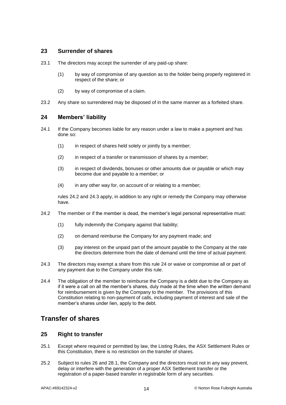### **23 Surrender of shares**

- 23.1 The directors may accept the surrender of any paid-up share:
	- (1) by way of compromise of any question as to the holder being properly registered in respect of the share; or
	- (2) by way of compromise of a claim.
- <span id="page-18-2"></span>23.2 Any share so surrendered may be disposed of in the same manner as a forfeited share.

### **24 Members' liability**

- 24.1 If the Company becomes liable for any reason under a law to make a payment and has done so:
	- (1) in respect of shares held solely or jointly by a member;
	- (2) in respect of a transfer or transmission of shares by a member;
	- (3) in respect of dividends, bonuses or other amounts due or payable or which may become due and payable to a member; or
	- (4) in any other way for, on account of or relating to a member;

rules [24.2](#page-18-0) and [24.3](#page-18-1) apply, in addition to any right or remedy the Company may otherwise have.

- <span id="page-18-0"></span>24.2 The member or if the member is dead, the member's legal personal representative must:
	- (1) fully indemnify the Company against that liability;
	- (2) on demand reimburse the Company for any payment made; and
	- (3) pay interest on the unpaid part of the amount payable to the Company at the rate the directors determine from the date of demand until the time of actual payment.
- <span id="page-18-1"></span>24.3 The directors may exempt a share from this rule [24](#page-18-2) or waive or compromise all or part of any payment due to the Company under this rule.
- 24.4 The obligation of the member to reimburse the Company is a debt due to the Company as if it were a call on all the member's shares, duly made at the time when the written demand for reimbursement is given by the Company to the member. The provisions of this Constitution relating to non-payment of calls, including payment of interest and sale of the member's shares under lien, apply to the debt.

# **Transfer of shares**

### **25 Right to transfer**

- 25.1 Except where required or permitted by law, the Listing Rules, the ASX Settlement Rules or this Constitution, there is no restriction on the transfer of shares.
- 25.2 Subject to rules [26](#page-19-0) and [28.1,](#page-19-1) the Company and the directors must not in any way prevent, delay or interfere with the generation of a proper ASX Settlement transfer or the registration of a paper-based transfer in registrable form of any securities.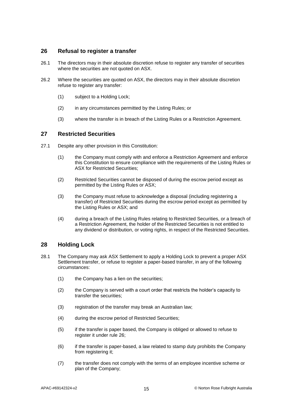### <span id="page-19-0"></span>**26 Refusal to register a transfer**

- 26.1 The directors may in their absolute discretion refuse to register any transfer of securities where the securities are not quoted on ASX.
- 26.2 Where the securities are quoted on ASX, the directors may in their absolute discretion refuse to register any transfer:
	- (1) subject to a Holding Lock;
	- (2) in any circumstances permitted by the Listing Rules; or
	- (3) where the transfer is in breach of the Listing Rules or a Restriction Agreement.

### **27 Restricted Securities**

- 27.1 Despite any other provision in this Constitution:
	- (1) the Company must comply with and enforce a Restriction Agreement and enforce this Constitution to ensure compliance with the requirements of the Listing Rules or ASX for Restricted Securities;
	- (2) Restricted Securities cannot be disposed of during the escrow period except as permitted by the Listing Rules or ASX;
	- (3) the Company must refuse to acknowledge a disposal (including registering a transfer) of Restricted Securities during the escrow period except as permitted by the Listing Rules or ASX; and
	- (4) during a breach of the Listing Rules relating to Restricted Securities, or a breach of a Restriction Agreement, the holder of the Restricted Securities is not entitled to any dividend or distribution, or voting rights, in respect of the Restricted Securities.

### **28 Holding Lock**

- <span id="page-19-1"></span>28.1 The Company may ask ASX Settlement to apply a Holding Lock to prevent a proper ASX Settlement transfer, or refuse to register a paper-based transfer, in any of the following circumstances:
	- (1) the Company has a lien on the securities;
	- (2) the Company is served with a court order that restricts the holder's capacity to transfer the securities;
	- (3) registration of the transfer may break an Australian law;
	- (4) during the escrow period of Restricted Securities;
	- (5) if the transfer is paper based, the Company is obliged or allowed to refuse to register it under rule [26;](#page-19-0)
	- (6) if the transfer is paper-based, a law related to stamp duty prohibits the Company from registering it;
	- (7) the transfer does not comply with the terms of an employee incentive scheme or plan of the Company;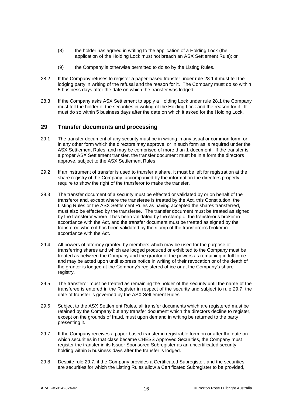- (8) the holder has agreed in writing to the application of a Holding Lock (the application of the Holding Lock must not breach an ASX Settlement Rule); or
- (9) the Company is otherwise permitted to do so by the Listing Rules.
- 28.2 If the Company refuses to register a paper-based transfer under rule [28.1](#page-19-1) it must tell the lodging party in writing of the refusal and the reason for it. The Company must do so within 5 business days after the date on which the transfer was lodged.
- 28.3 If the Company asks ASX Settlement to apply a Holding Lock under rule [28.1](#page-19-1) the Company must tell the holder of the securities in writing of the Holding Lock and the reason for it. It must do so within 5 business days after the date on which it asked for the Holding Lock.

### **29 Transfer documents and processing**

- 29.1 The transfer document of any security must be in writing in any usual or common form, or in any other form which the directors may approve, or in such form as is required under the ASX Settlement Rules, and may be comprised of more than 1 document. If the transfer is a proper ASX Settlement transfer, the transfer document must be in a form the directors approve, subject to the ASX Settlement Rules.
- 29.2 If an instrument of transfer is used to transfer a share, it must be left for registration at the share registry of the Company, accompanied by the information the directors properly require to show the right of the transferor to make the transfer.
- 29.3 The transfer document of a security must be effected or validated by or on behalf of the transferor and, except where the transferee is treated by the Act, this Constitution, the Listing Rules or the ASX Settlement Rules as having accepted the shares transferred, must also be effected by the transferee. The transfer document must be treated as signed by the transferor where it has been validated by the stamp of the transferor's broker in accordance with the Act, and the transfer document must be treated as signed by the transferee where it has been validated by the stamp of the transferee's broker in accordance with the Act.
- 29.4 All powers of attorney granted by members which may be used for the purpose of transferring shares and which are lodged produced or exhibited to the Company must be treated as between the Company and the grantor of the powers as remaining in full force and may be acted upon until express notice in writing of their revocation or of the death of the grantor is lodged at the Company's registered office or at the Company's share registry.
- 29.5 The transferor must be treated as remaining the holder of the security until the name of the transferee is entered in the Register in respect of the security and subject to rule [29.7,](#page-20-0) the date of transfer is governed by the ASX Settlement Rules.
- 29.6 Subject to the ASX Settlement Rules, all transfer documents which are registered must be retained by the Company but any transfer document which the directors decline to register, except on the grounds of fraud, must upon demand in writing be returned to the party presenting it.
- <span id="page-20-0"></span>29.7 If the Company receives a paper-based transfer in registrable form on or after the date on which securities in that class became CHESS Approved Securities, the Company must register the transfer in its Issuer Sponsored Subregister as an uncertificated security holding within 5 business days after the transfer is lodged.
- 29.8 Despite rule [29.7,](#page-20-0) if the Company provides a Certificated Subregister, and the securities are securities for which the Listing Rules allow a Certificated Subregister to be provided,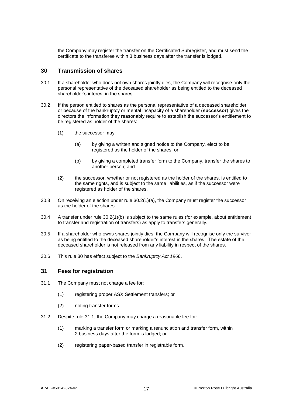the Company may register the transfer on the Certificated Subregister, and must send the certificate to the transferee within 3 business days after the transfer is lodged.

### <span id="page-21-2"></span>**30 Transmission of shares**

- 30.1 If a shareholder who does not own shares jointly dies, the Company will recognise only the personal representative of the deceased shareholder as being entitled to the deceased shareholder's interest in the shares.
- <span id="page-21-0"></span>30.2 If the person entitled to shares as the personal representative of a deceased shareholder or because of the bankruptcy or mental incapacity of a shareholder (**successor**) gives the directors the information they reasonably require to establish the successor's entitlement to be registered as holder of the shares:
	- (1) the successor may:
		- (a) by giving a written and signed notice to the Company, elect to be registered as the holder of the shares; or
		- (b) by giving a completed transfer form to the Company, transfer the shares to another person; and
	- (2) the successor, whether or not registered as the holder of the shares, is entitled to the same rights, and is subject to the same liabilities, as if the successor were registered as holder of the shares.
- <span id="page-21-1"></span>30.3 On receiving an election under rule [30.2\(1\)\(a\),](#page-21-0) the Company must register the successor as the holder of the shares.
- 30.4 A transfer under rule [30.2\(1\)\(b\)](#page-21-1) is subject to the same rules (for example, about entitlement to transfer and registration of transfers) as apply to transfers generally.
- 30.5 If a shareholder who owns shares jointly dies, the Company will recognise only the survivor as being entitled to the deceased shareholder's interest in the shares. The estate of the deceased shareholder is not released from any liability in respect of the shares.
- 30.6 This rule [30](#page-21-2) has effect subject to the *Bankruptcy Act 1966*.

### **31 Fees for registration**

- <span id="page-21-3"></span>31.1 The Company must not charge a fee for:
	- (1) registering proper ASX Settlement transfers; or
	- (2) noting transfer forms.
- 31.2 Despite rule [31.1,](#page-21-3) the Company may charge a reasonable fee for:
	- (1) marking a transfer form or marking a renunciation and transfer form, within 2 business days after the form is lodged; or
	- (2) registering paper-based transfer in registrable form.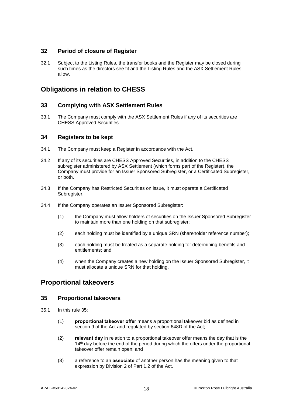### **32 Period of closure of Register**

32.1 Subject to the Listing Rules, the transfer books and the Register may be closed during such times as the directors see fit and the Listing Rules and the ASX Settlement Rules allow.

# **Obligations in relation to CHESS**

### **33 Complying with ASX Settlement Rules**

33.1 The Company must comply with the ASX Settlement Rules if any of its securities are CHESS Approved Securities.

### **34 Registers to be kept**

- 34.1 The Company must keep a Register in accordance with the Act.
- 34.2 If any of its securities are CHESS Approved Securities, in addition to the CHESS subregister administered by ASX Settlement (which forms part of the Register), the Company must provide for an Issuer Sponsored Subregister, or a Certificated Subregister, or both.
- 34.3 If the Company has Restricted Securities on issue, it must operate a Certificated Subregister.
- 34.4 If the Company operates an Issuer Sponsored Subregister:
	- (1) the Company must allow holders of securities on the Issuer Sponsored Subregister to maintain more than one holding on that subregister;
	- (2) each holding must be identified by a unique SRN (shareholder reference number);
	- (3) each holding must be treated as a separate holding for determining benefits and entitlements; and
	- (4) when the Company creates a new holding on the Issuer Sponsored Subregister, it must allocate a unique SRN for that holding.

### <span id="page-22-0"></span>**Proportional takeovers**

### **35 Proportional takeovers**

- 35.1 In this rule [35:](#page-22-0)
	- (1) **proportional takeover offer** means a proportional takeover bid as defined in section 9 of the Act and regulated by section 648D of the Act;
	- (2) **relevant day** in relation to a proportional takeover offer means the day that is the 14<sup>th</sup> day before the end of the period during which the offers under the proportional takeover offer remain open; and
	- (3) a reference to an **associate** of another person has the meaning given to that expression by Division 2 of Part 1.2 of the Act.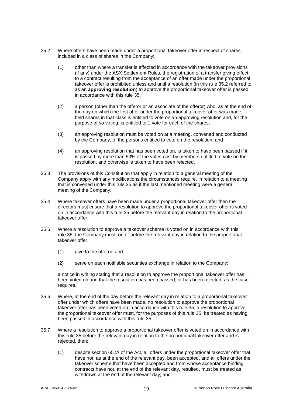- <span id="page-23-0"></span>35.2 Where offers have been made under a proportional takeover offer in respect of shares included in a class of shares in the Company:
	- (1) other than where a transfer is effected in accordance with the takeover provisions (if any) under the ASX Settlement Rules, the registration of a transfer giving effect to a contract resulting from the acceptance of an offer made under the proportional takeover offer is prohibited unless and until a resolution (in this rule [35.2](#page-23-0) referred to as an **approving resolution**) to approve the proportional takeover offer is passed in accordance with this rule [35;](#page-22-0)
	- (2) a person (other than the offeror or an associate of the offeror) who, as at the end of the day on which the first offer under the proportional takeover offer was made, held shares in that class is entitled to vote on an approving resolution and, for the purpose of so voting, is entitled to 1 vote for each of the shares;
	- (3) an approving resolution must be voted on at a meeting, convened and conducted by the Company, of the persons entitled to vote on the resolution; and
	- (4) an approving resolution that has been voted on, is taken to have been passed if it is passed by more than 50% of the votes cast by members entitled to vote on the resolution, and otherwise is taken to have been rejected.
- 35.3 The provisions of this Constitution that apply in relation to a general meeting of the Company apply with any modifications the circumstances require, in relation to a meeting that is convened under this rule [35](#page-22-0) as if the last mentioned meeting were a general meeting of the Company.
- 35.4 Where takeover offers have been made under a proportional takeover offer then the directors must ensure that a resolution to approve the proportional takeover offer is voted on in accordance with this rule [35](#page-22-0) before the relevant day in relation to the proportional takeover offer.
- 35.5 Where a resolution to approve a takeover scheme is voted on in accordance with this rule [35,](#page-22-0) the Company must, on or before the relevant day in relation to the proportional takeover offer:
	- (1) give to the offeror; and
	- (2) serve on each notifiable securities exchange in relation to the Company;

a notice in writing stating that a resolution to approve the proportional takeover offer has been voted on and that the resolution has been passed, or has been rejected, as the case requires.

- 35.6 Where, at the end of the day before the relevant day in relation to a proportional takeover offer under which offers have been made, no resolution to approve the proportional takeover offer has been voted on in accordance with this rule [35,](#page-22-0) a resolution to approve the proportional takeover offer must, for the purposes of this rule [35,](#page-22-0) be treated as having been passed in accordance with this rule [35.](#page-22-0)
- 35.7 Where a resolution to approve a proportional takeover offer is voted on in accordance with this rule [35](#page-22-0) before the relevant day in relation to the proportional takeover offer and is rejected, then:
	- (1) despite section 652A of the Act, all offers under the proportional takeover offer that have not, as at the end of the relevant day, been accepted, and all offers under the takeover scheme that have been accepted and from whose acceptance binding contracts have not, at the end of the relevant day, resulted, must be treated as withdrawn at the end of the relevant day; and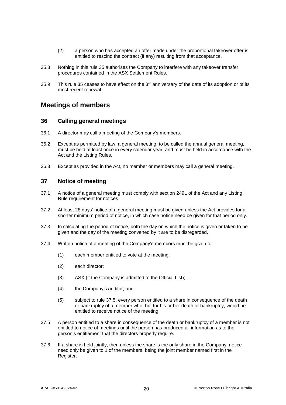- (2) a person who has accepted an offer made under the proportional takeover offer is entitled to rescind the contract (if any) resulting from that acceptance.
- 35.8 Nothing in this rule [35](#page-22-0) authorises the Company to interfere with any takeover transfer procedures contained in the ASX Settlement Rules.
- [35](#page-22-0).9 This rule 35 ceases to have effect on the  $3<sup>rd</sup>$  anniversary of the date of its adoption or of its most recent renewal.

### **Meetings of members**

### **36 Calling general meetings**

- 36.1 A director may call a meeting of the Company's members.
- 36.2 Except as permitted by law, a general meeting, to be called the annual general meeting, must be held at least once in every calendar year, and must be held in accordance with the Act and the Listing Rules.
- 36.3 Except as provided in the Act, no member or members may call a general meeting.

### **37 Notice of meeting**

- 37.1 A notice of a general meeting must comply with section 249L of the Act and any Listing Rule requirement for notices.
- 37.2 At least 28 days' notice of a general meeting must be given unless the Act provides for a shorter minimum period of notice, in which case notice need be given for that period only.
- 37.3 In calculating the period of notice, both the day on which the notice is given or taken to be given and the day of the meeting convened by it are to be disregarded.
- 37.4 Written notice of a meeting of the Company's members must be given to:
	- (1) each member entitled to vote at the meeting;
	- (2) each director;
	- (3) ASX (if the Company is admitted to the Official List);
	- (4) the Company's auditor; and
	- (5) subject to rule [37.5,](#page-24-0) every person entitled to a share in consequence of the death or bankruptcy of a member who, but for his or her death or bankruptcy, would be entitled to receive notice of the meeting.
- <span id="page-24-0"></span>37.5 A person entitled to a share in consequence of the death or bankruptcy of a member is not entitled to notice of meetings until the person has produced all information as to the person's entitlement that the directors properly require.
- 37.6 If a share is held jointly, then unless the share is the only share in the Company, notice need only be given to 1 of the members, being the joint member named first in the Register.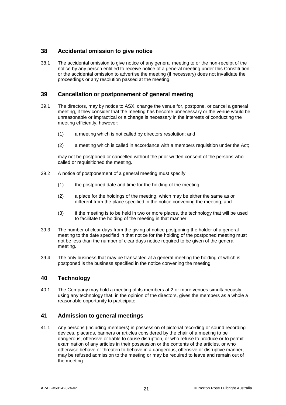### **38 Accidental omission to give notice**

38.1 The accidental omission to give notice of any general meeting to or the non-receipt of the notice by any person entitled to receive notice of a general meeting under this Constitution or the accidental omission to advertise the meeting (if necessary) does not invalidate the proceedings or any resolution passed at the meeting.

### **39 Cancellation or postponement of general meeting**

- 39.1 The directors, may by notice to ASX, change the venue for, postpone, or cancel a general meeting, if they consider that the meeting has become unnecessary or the venue would be unreasonable or impractical or a change is necessary in the interests of conducting the meeting efficiently, however:
	- (1) a meeting which is not called by directors resolution; and
	- (2) a meeting which is called in accordance with a members requisition under the Act;

may not be postponed or cancelled without the prior written consent of the persons who called or requisitioned the meeting.

- 39.2 A notice of postponement of a general meeting must specify:
	- (1) the postponed date and time for the holding of the meeting;
	- (2) a place for the holdings of the meeting, which may be either the same as or different from the place specified in the notice convening the meeting; and
	- (3) if the meeting is to be held in two or more places, the technology that will be used to facilitate the holding of the meeting in that manner.
- 39.3 The number of clear days from the giving of notice postponing the holder of a general meeting to the date specified in that notice for the holding of the postponed meeting must not be less than the number of clear days notice required to be given of the general meeting.
- 39.4 The only business that may be transacted at a general meeting the holding of which is postponed is the business specified in the notice convening the meeting.

### **40 Technology**

40.1 The Company may hold a meeting of its members at 2 or more venues simultaneously using any technology that, in the opinion of the directors, gives the members as a whole a reasonable opportunity to participate.

### **41 Admission to general meetings**

41.1 Any persons (including members) in possession of pictorial recording or sound recording devices, placards, banners or articles considered by the chair of a meeting to be dangerous, offensive or liable to cause disruption, or who refuse to produce or to permit examination of any articles in their possession or the contents of the articles, or who otherwise behave or threaten to behave in a dangerous, offensive or disruptive manner, may be refused admission to the meeting or may be required to leave and remain out of the meeting.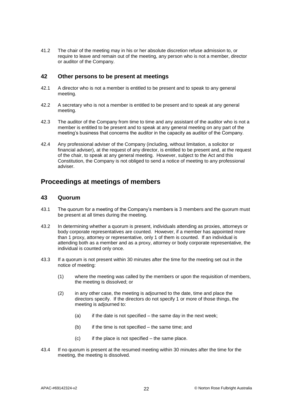41.2 The chair of the meeting may in his or her absolute discretion refuse admission to, or require to leave and remain out of the meeting, any person who is not a member, director or auditor of the Company.

### **42 Other persons to be present at meetings**

- 42.1 A director who is not a member is entitled to be present and to speak to any general meeting.
- 42.2 A secretary who is not a member is entitled to be present and to speak at any general meeting.
- 42.3 The auditor of the Company from time to time and any assistant of the auditor who is not a member is entitled to be present and to speak at any general meeting on any part of the meeting's business that concerns the auditor in the capacity as auditor of the Company.
- 42.4 Any professional adviser of the Company (including, without limitation, a solicitor or financial adviser), at the request of any director, is entitled to be present and, at the request of the chair, to speak at any general meeting. However, subject to the Act and this Constitution, the Company is not obliged to send a notice of meeting to any professional adviser.

### **Proceedings at meetings of members**

### **43 Quorum**

- 43.1 The quorum for a meeting of the Company's members is 3 members and the quorum must be present at all times during the meeting.
- 43.2 In determining whether a quorum is present, individuals attending as proxies, attorneys or body corporate representatives are counted. However, if a member has appointed more than 1 proxy, attorney or representative, only 1 of them is counted. If an individual is attending both as a member and as a proxy, attorney or body corporate representative, the individual is counted only once.
- 43.3 If a quorum is not present within 30 minutes after the time for the meeting set out in the notice of meeting:
	- (1) where the meeting was called by the members or upon the requisition of members, the meeting is dissolved; or
	- (2) in any other case, the meeting is adjourned to the date, time and place the directors specify. If the directors do not specify 1 or more of those things, the meeting is adjourned to:
		- (a) if the date is not specified the same day in the next week;
		- $(b)$  if the time is not specified the same time; and
		- $(c)$  if the place is not specified the same place.
- 43.4 If no quorum is present at the resumed meeting within 30 minutes after the time for the meeting, the meeting is dissolved.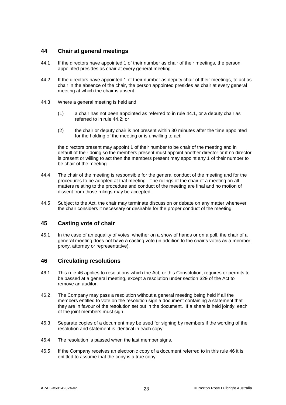### **44 Chair at general meetings**

- <span id="page-27-0"></span>44.1 If the directors have appointed 1 of their number as chair of their meetings, the person appointed presides as chair at every general meeting.
- <span id="page-27-1"></span>44.2 If the directors have appointed 1 of their number as deputy chair of their meetings, to act as chair in the absence of the chair, the person appointed presides as chair at every general meeting at which the chair is absent.
- 44.3 Where a general meeting is held and:
	- (1) a chair has not been appointed as referred to in rule [44.1,](#page-27-0) or a deputy chair as referred to in rule [44.2;](#page-27-1) or
	- (2) the chair or deputy chair is not present within 30 minutes after the time appointed for the holding of the meeting or is unwilling to act;

the directors present may appoint 1 of their number to be chair of the meeting and in default of their doing so the members present must appoint another director or if no director is present or willing to act then the members present may appoint any 1 of their number to be chair of the meeting.

- 44.4 The chair of the meeting is responsible for the general conduct of the meeting and for the procedures to be adopted at that meeting. The rulings of the chair of a meeting on all matters relating to the procedure and conduct of the meeting are final and no motion of dissent from those rulings may be accepted.
- 44.5 Subject to the Act, the chair may terminate discussion or debate on any matter whenever the chair considers it necessary or desirable for the proper conduct of the meeting.

### **45 Casting vote of chair**

45.1 In the case of an equality of votes, whether on a show of hands or on a poll, the chair of a general meeting does not have a casting vote (in addition to the chair's votes as a member, proxy, attorney or representative).

### <span id="page-27-2"></span>**46 Circulating resolutions**

- 46.1 This rule [46](#page-27-2) applies to resolutions which the Act, or this Constitution, requires or permits to be passed at a general meeting, except a resolution under section 329 of the Act to remove an auditor.
- 46.2 The Company may pass a resolution without a general meeting being held if all the members entitled to vote on the resolution sign a document containing a statement that they are in favour of the resolution set out in the document. If a share is held jointly, each of the joint members must sign.
- 46.3 Separate copies of a document may be used for signing by members if the wording of the resolution and statement is identical in each copy.
- 46.4 The resolution is passed when the last member signs.
- 46.5 If the Company receives an electronic copy of a document referred to in this rule [46](#page-27-2) it is entitled to assume that the copy is a true copy.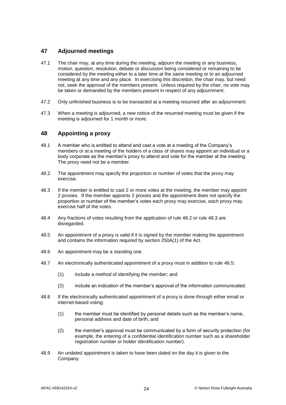### **47 Adjourned meetings**

- 47.1 The chair may, at any time during the meeting, adjourn the meeting or any business, motion, question, resolution, debate or discussion being considered or remaining to be considered by the meeting either to a later time at the same meeting or to an adjourned meeting at any time and any place. In exercising this discretion, the chair may, but need not, seek the approval of the members present. Unless required by the chair, no vote may be taken or demanded by the members present in respect of any adjournment.
- 47.2 Only unfinished business is to be transacted at a meeting resumed after an adjournment.
- 47.3 When a meeting is adjourned, a new notice of the resumed meeting must be given if the meeting is adjourned for 1 month or more.

### <span id="page-28-3"></span>**48 Appointing a proxy**

- 48.1 A member who is entitled to attend and cast a vote at a meeting of the Company's members or at a meeting of the holders of a class of shares may appoint an individual or a body corporate as the member's proxy to attend and vote for the member at the meeting. The proxy need not be a member.
- <span id="page-28-0"></span>48.2 The appointment may specify the proportion or number of votes that the proxy may exercise.
- <span id="page-28-1"></span>48.3 If the member is entitled to cast 2 or more votes at the meeting, the member may appoint 2 proxies. If the member appoints 2 proxies and the appointment does not specify the proportion or number of the member's votes each proxy may exercise, each proxy may exercise half of the votes.
- 48.4 Any fractions of votes resulting from the application of rule [48.2](#page-28-0) or rule [48.3](#page-28-1) are disregarded.
- <span id="page-28-2"></span>48.5 An appointment of a proxy is valid if it is signed by the member making the appointment and contains the information required by section 250A(1) of the Act.
- 48.6 An appointment may be a standing one.
- 48.7 An electronically authenticated appointment of a proxy must in addition to rule [48.5:](#page-28-2)
	- (1) include a method of identifying the member; and
	- (2) include an indication of the member's approval of the information communicated.
- 48.8 If the electronically authenticated appointment of a proxy is done through either email or internet-based voting:
	- (1) the member must be identified by personal details such as the member's name, personal address and date of birth; and
	- (2) the member's approval must be communicated by a form of security protection (for example, the entering of a confidential identification number such as a shareholder registration number or holder identification number).
- 48.9 An undated appointment is taken to have been dated on the day it is given to the Company.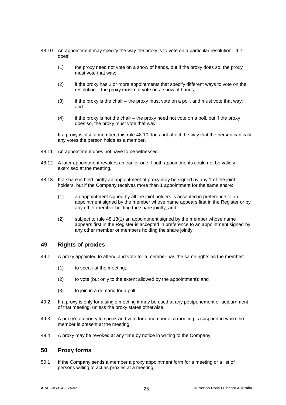- <span id="page-29-0"></span>48.10 An appointment may specify the way the proxy is to vote on a particular resolution. If it does:
	- (1) the proxy need not vote on a show of hands, but if the proxy does so, the proxy must vote that way;
	- (2) if the proxy has 2 or more appointments that specify different ways to vote on the resolution – the proxy must not vote on a show of hands;
	- $(3)$  if the proxy is the chair the proxy must vote on a poll, and must vote that way; and
	- $(4)$  if the proxy is not the chair the proxy need not vote on a poll, but if the proxy does so, the proxy must vote that way.

If a proxy is also a member, this rule [48.10](#page-29-0) does not affect the way that the person can cast any votes the person holds as a member.

- 48.11 An appointment does not have to be witnessed.
- 48.12 A later appointment revokes an earlier one if both appointments could not be validly exercised at the meeting.
- <span id="page-29-1"></span>48.13 If a share is held jointly an appointment of proxy may be signed by any 1 of the joint holders, but if the Company receives more than 1 appointment for the same share:
	- (1) an appointment signed by all the joint holders is accepted in preference to an appointment signed by the member whose name appears first in the Register or by any other member holding the share jointly; and
	- (2) subject to rule [48.13\(1\)](#page-29-1) an appointment signed by the member whose name appears first in the Register is accepted in preference to an appointment signed by any other member or members holding the share jointly.

### **49 Rights of proxies**

- 49.1 A proxy appointed to attend and vote for a member has the same rights as the member:
	- (1) to speak at the meeting;
	- (2) to vote (but only to the extent allowed by the appointment); and
	- (3) to join in a demand for a poll.
- 49.2 If a proxy is only for a single meeting it may be used at any postponement or adjournment of that meeting, unless the proxy states otherwise.
- 49.3 A proxy's authority to speak and vote for a member at a meeting is suspended while the member is present at the meeting.
- 49.4 A proxy may be revoked at any time by notice in writing to the Company.

### **50 Proxy forms**

50.1 If the Company sends a member a proxy appointment form for a meeting or a list of persons willing to act as proxies at a meeting: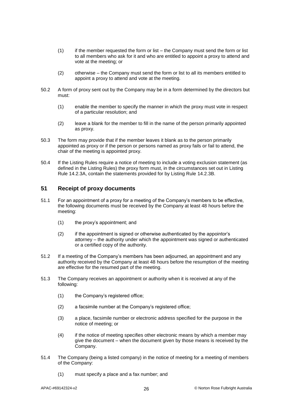- (1) if the member requested the form or list the Company must send the form or list to all members who ask for it and who are entitled to appoint a proxy to attend and vote at the meeting; or
- (2) otherwise the Company must send the form or list to all its members entitled to appoint a proxy to attend and vote at the meeting.
- 50.2 A form of proxy sent out by the Company may be in a form determined by the directors but must:
	- (1) enable the member to specify the manner in which the proxy must vote in respect of a particular resolution; and
	- (2) leave a blank for the member to fill in the name of the person primarily appointed as proxy.
- 50.3 The form may provide that if the member leaves it blank as to the person primarily appointed as proxy or if the person or persons named as proxy fails or fail to attend, the chair of the meeting is appointed proxy.
- 50.4 If the Listing Rules require a notice of meeting to include a voting exclusion statement (as defined in the Listing Rules) the proxy form must, in the circumstances set out in Listing Rule 14.2.3A, contain the statements provided for by Listing Rule 14.2.3B.

### **51 Receipt of proxy documents**

- 51.1 For an appointment of a proxy for a meeting of the Company's members to be effective, the following documents must be received by the Company at least 48 hours before the meeting:
	- (1) the proxy's appointment; and
	- (2) if the appointment is signed or otherwise authenticated by the appointor's attorney – the authority under which the appointment was signed or authenticated or a certified copy of the authority.
- 51.2 If a meeting of the Company's members has been adjourned, an appointment and any authority received by the Company at least 48 hours before the resumption of the meeting are effective for the resumed part of the meeting.
- 51.3 The Company receives an appointment or authority when it is received at any of the following:
	- (1) the Company's registered office;
	- (2) a facsimile number at the Company's registered office;
	- (3) a place, facsimile number or electronic address specified for the purpose in the notice of meeting; or
	- (4) if the notice of meeting specifies other electronic means by which a member may give the document – when the document given by those means is received by the Company.
- 51.4 The Company (being a listed company) in the notice of meeting for a meeting of members of the Company:
	- (1) must specify a place and a fax number; and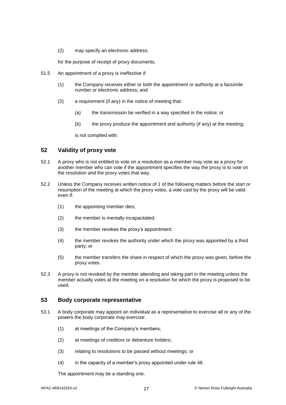(2) may specify an electronic address;

for the purpose of receipt of proxy documents.

- 51.5 An appointment of a proxy is ineffective if:
	- (1) the Company receives either or both the appointment or authority at a facsimile number or electronic address; and
	- (2) a requirement (if any) in the notice of meeting that:
		- (a) the transmission be verified in a way specified in the notice; or
		- (b) the proxy produce the appointment and authority (if any) at the meeting;

is not complied with.

### **52 Validity of proxy vote**

- 52.1 A proxy who is not entitled to vote on a resolution as a member may vote as a proxy for another member who can vote if the appointment specifies the way the proxy is to vote on the resolution and the proxy votes that way.
- 52.2 Unless the Company receives written notice of 1 of the following matters before the start or resumption of the meeting at which the proxy votes, a vote cast by the proxy will be valid even if:
	- (1) the appointing member dies;
	- (2) the member is mentally incapacitated;
	- $(3)$  the member revokes the proxy's appointment;
	- (4) the member revokes the authority under which the proxy was appointed by a third party; or
	- (5) the member transfers the share in respect of which the proxy was given, before the proxy votes.
- 52.3 A proxy is not revoked by the member attending and taking part in the meeting unless the member actually votes at the meeting on a resolution for which the proxy is proposed to be used.

### **53 Body corporate representative**

- 53.1 A body corporate may appoint an individual as a representative to exercise all or any of the powers the body corporate may exercise:
	- (1) at meetings of the Company's members;
	- (2) at meetings of creditors or debenture holders;
	- (3) relating to resolutions to be passed without meetings; or
	- (4) in the capacity of a member's proxy appointed under rule [48.](#page-28-3)

The appointment may be a standing one.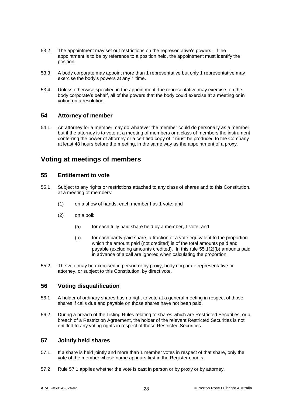- 53.2 The appointment may set out restrictions on the representative's powers. If the appointment is to be by reference to a position held, the appointment must identify the position.
- 53.3 A body corporate may appoint more than 1 representative but only 1 representative may exercise the body's powers at any 1 time.
- 53.4 Unless otherwise specified in the appointment, the representative may exercise, on the body corporate's behalf, all of the powers that the body could exercise at a meeting or in voting on a resolution.

### **54 Attorney of member**

54.1 An attorney for a member may do whatever the member could do personally as a member, but if the attorney is to vote at a meeting of members or a class of members the instrument conferring the power of attorney or a certified copy of it must be produced to the Company at least 48 hours before the meeting, in the same way as the appointment of a proxy.

### **Voting at meetings of members**

### **55 Entitlement to vote**

- 55.1 Subject to any rights or restrictions attached to any class of shares and to this Constitution, at a meeting of members:
	- (1) on a show of hands, each member has 1 vote; and
	- (2) on a poll:
		- (a) for each fully paid share held by a member, 1 vote; and
		- (b) for each partly paid share, a fraction of a vote equivalent to the proportion which the amount paid (not credited) is of the total amounts paid and payable (excluding amounts credited). In this rule [55.1\(2\)\(b\)](#page-32-0) amounts paid in advance of a call are ignored when calculating the proportion.
- <span id="page-32-0"></span>55.2 The vote may be exercised in person or by proxy, body corporate representative or attorney, or subject to this Constitution, by direct vote.

### **56 Voting disqualification**

- 56.1 A holder of ordinary shares has no right to vote at a general meeting in respect of those shares if calls due and payable on those shares have not been paid.
- 56.2 During a breach of the Listing Rules relating to shares which are Restricted Securities, or a breach of a Restriction Agreement, the holder of the relevant Restricted Securities is not entitled to any voting rights in respect of those Restricted Securities.

### <span id="page-32-1"></span>**57 Jointly held shares**

- 57.1 If a share is held jointly and more than 1 member votes in respect of that share, only the vote of the member whose name appears first in the Register counts.
- 57.2 Rule [57.1](#page-32-1) applies whether the vote is cast in person or by proxy or by attorney.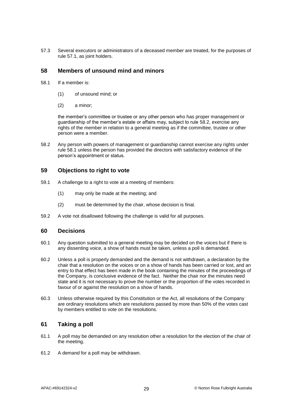57.3 Several executors or administrators of a deceased member are treated, for the purposes of rule [57.1,](#page-32-1) as joint holders.

### **58 Members of unsound mind and minors**

- <span id="page-33-1"></span>58.1 If a member is:
	- (1) of unsound mind; or
	- (2) a minor;

the member's committee or trustee or any other person who has proper management or guardianship of the member's estate or affairs may, subject to rule [58.2,](#page-33-0) exercise any rights of the member in relation to a general meeting as if the committee, trustee or other person were a member.

<span id="page-33-0"></span>58.2 Any person with powers of management or guardianship cannot exercise any rights under rule [58.1](#page-33-1) unless the person has provided the directors with satisfactory evidence of the person's appointment or status.

### **59 Objections to right to vote**

- 59.1 A challenge to a right to vote at a meeting of members:
	- (1) may only be made at the meeting; and
	- (2) must be determined by the chair, whose decision is final.
- 59.2 A vote not disallowed following the challenge is valid for all purposes.

### **60 Decisions**

- 60.1 Any question submitted to a general meeting may be decided on the voices but if there is any dissenting voice, a show of hands must be taken, unless a poll is demanded.
- 60.2 Unless a poll is properly demanded and the demand is not withdrawn, a declaration by the chair that a resolution on the voices or on a show of hands has been carried or lost, and an entry to that effect has been made in the book containing the minutes of the proceedings of the Company, is conclusive evidence of the fact. Neither the chair nor the minutes need state and it is not necessary to prove the number or the proportion of the votes recorded in favour of or against the resolution on a show of hands.
- 60.3 Unless otherwise required by this Constitution or the Act, all resolutions of the Company are ordinary resolutions which are resolutions passed by more than 50% of the votes cast by members entitled to vote on the resolutions.

### **61 Taking a poll**

- 61.1 A poll may be demanded on any resolution other a resolution for the election of the chair of the meeting.
- 61.2 A demand for a poll may be withdrawn.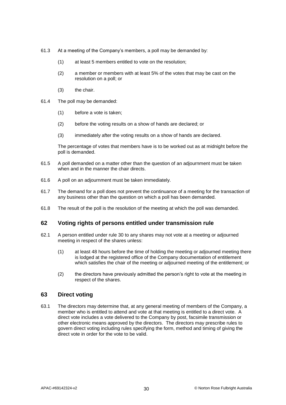- 61.3 At a meeting of the Company's members, a poll may be demanded by:
	- (1) at least 5 members entitled to vote on the resolution;
	- (2) a member or members with at least 5% of the votes that may be cast on the resolution on a poll; or
	- (3) the chair.
- 61.4 The poll may be demanded:
	- (1) before a vote is taken;
	- (2) before the voting results on a show of hands are declared; or
	- (3) immediately after the voting results on a show of hands are declared.

The percentage of votes that members have is to be worked out as at midnight before the poll is demanded.

- 61.5 A poll demanded on a matter other than the question of an adjournment must be taken when and in the manner the chair directs.
- 61.6 A poll on an adjournment must be taken immediately.
- 61.7 The demand for a poll does not prevent the continuance of a meeting for the transaction of any business other than the question on which a poll has been demanded.
- 61.8 The result of the poll is the resolution of the meeting at which the poll was demanded.

### **62 Voting rights of persons entitled under transmission rule**

- 62.1 A person entitled under rule [30](#page-21-2) to any shares may not vote at a meeting or adjourned meeting in respect of the shares unless:
	- (1) at least 48 hours before the time of holding the meeting or adjourned meeting there is lodged at the registered office of the Company documentation of entitlement which satisfies the chair of the meeting or adjourned meeting of the entitlement; or
	- (2) the directors have previously admitted the person's right to vote at the meeting in respect of the shares.

### **63 Direct voting**

63.1 The directors may determine that, at any general meeting of members of the Company, a member who is entitled to attend and vote at that meeting is entitled to a direct vote. A direct vote includes a vote delivered to the Company by post, facsimile transmission or other electronic means approved by the directors. The directors may prescribe rules to govern direct voting including rules specifying the form, method and timing of giving the direct vote in order for the vote to be valid.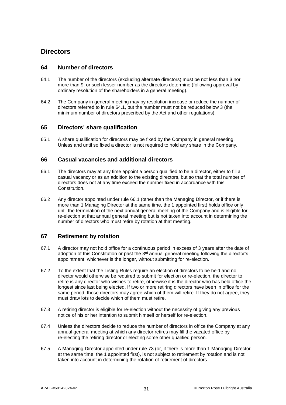### <span id="page-35-5"></span>**Directors**

### **64 Number of directors**

- <span id="page-35-0"></span>64.1 The number of the directors (excluding alternate directors) must be not less than 3 nor more than 9, or such lesser number as the directors determine (following approval by ordinary resolution of the shareholders in a general meeting).
- 64.2 The Company in general meeting may by resolution increase or reduce the number of directors referred to in rule [64.1,](#page-35-0) but the number must not be reduced below 3 (the minimum number of directors prescribed by the Act and other regulations).

### <span id="page-35-2"></span>**65 Directors' share qualification**

65.1 A share qualification for directors may be fixed by the Company in general meeting. Unless and until so fixed a director is not required to hold any share in the Company.

### <span id="page-35-1"></span>**66 Casual vacancies and additional directors**

- 66.1 The directors may at any time appoint a person qualified to be a director, either to fill a casual vacancy or as an addition to the existing directors, but so that the total number of directors does not at any time exceed the number fixed in accordance with this Constitution.
- <span id="page-35-3"></span>66.2 Any director appointed under rule [66.1](#page-35-1) (other than the Managing Director, or if there is more than 1 Managing Director at the same time, the 1 appointed first) holds office only until the termination of the next annual general meeting of the Company and is eligible for re-election at that annual general meeting but is not taken into account in determining the number of directors who must retire by rotation at that meeting.

### <span id="page-35-4"></span>**67 Retirement by rotation**

- 67.1 A director may not hold office for a continuous period in excess of 3 years after the date of adoption of this Constitution or past the 3<sup>rd</sup> annual general meeting following the director's appointment, whichever is the longer, without submitting for re-election.
- 67.2 To the extent that the Listing Rules require an election of directors to be held and no director would otherwise be required to submit for election or re-election, the director to retire is any director who wishes to retire, otherwise it is the director who has held office the longest since last being elected. If two or more retiring directors have been in office for the same period, those directors may agree which of them will retire. If they do not agree, they must draw lots to decide which of them must retire.
- 67.3 A retiring director is eligible for re-election without the necessity of giving any previous notice of his or her intention to submit himself or herself for re-election.
- 67.4 Unless the directors decide to reduce the number of directors in office the Company at any annual general meeting at which any director retires may fill the vacated office by re-electing the retiring director or electing some other qualified person.
- 67.5 A Managing Director appointed under rule [73](#page-37-0) (or, if there is more than 1 Managing Director at the same time, the 1 appointed first), is not subject to retirement by rotation and is not taken into account in determining the rotation of retirement of directors.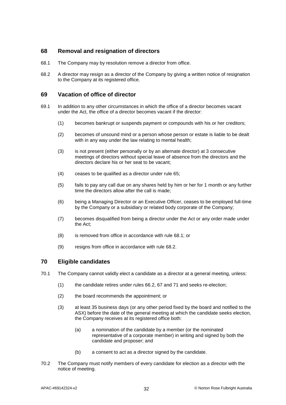### **68 Removal and resignation of directors**

- <span id="page-36-1"></span><span id="page-36-0"></span>68.1 The Company may by resolution remove a director from office.
- 68.2 A director may resign as a director of the Company by giving a written notice of resignation to the Company at its registered office.

### **69 Vacation of office of director**

- <span id="page-36-2"></span>69.1 In addition to any other circumstances in which the office of a director becomes vacant under the Act, the office of a director becomes vacant if the director:
	- (1) becomes bankrupt or suspends payment or compounds with his or her creditors;
	- (2) becomes of unsound mind or a person whose person or estate is liable to be dealt with in any way under the law relating to mental health;
	- (3) is not present (either personally or by an alternate director) at 3 consecutive meetings of directors without special leave of absence from the directors and the directors declare his or her seat to be vacant;
	- (4) ceases to be qualified as a director under rule [65;](#page-35-2)
	- (5) fails to pay any call due on any shares held by him or her for 1 month or any further time the directors allow after the call is made;
	- (6) being a Managing Director or an Executive Officer, ceases to be employed full-time by the Company or a subsidiary or related body corporate of the Company;
	- (7) becomes disqualified from being a director under the Act or any order made under the Act;
	- (8) is removed from office in accordance with rule [68.1;](#page-36-0) or
	- (9) resigns from office in accordance with rule [68.2.](#page-36-1)

### **70 Eligible candidates**

- 70.1 The Company cannot validly elect a candidate as a director at a general meeting, unless:
	- (1) the candidate retires under rules [66.2,](#page-35-3) [67](#page-35-4) and [71](#page-37-1) and seeks re-election;
	- (2) the board recommends the appointment; or
	- (3) at least 35 business days (or any other period fixed by the board and notified to the ASX) before the date of the general meeting at which the candidate seeks election, the Company receives at its registered office both:
		- (a) a nomination of the candidate by a member (or the nominated representative of a corporate member) in writing and signed by both the candidate and proposer; and
		- (b) a consent to act as a director signed by the candidate.
- 70.2 The Company must notify members of every candidate for election as a director with the notice of meeting.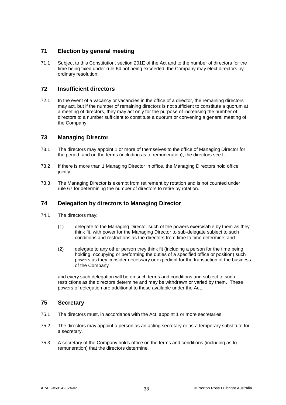### <span id="page-37-1"></span>**71 Election by general meeting**

71.1 Subject to this Constitution, section 201E of the Act and to the number of directors for the time being fixed under rule [64](#page-35-5) not being exceeded, the Company may elect directors by ordinary resolution.

### **72 Insufficient directors**

72.1 In the event of a vacancy or vacancies in the office of a director, the remaining directors may act, but if the number of remaining directors is not sufficient to constitute a quorum at a meeting of directors, they may act only for the purpose of increasing the number of directors to a number sufficient to constitute a quorum or convening a general meeting of the Company.

### <span id="page-37-0"></span>**73 Managing Director**

- 73.1 The directors may appoint 1 or more of themselves to the office of Managing Director for the period, and on the terms (including as to remuneration), the directors see fit.
- 73.2 If there is more than 1 Managing Director in office, the Managing Directors hold office jointly.
- 73.3 The Managing Director is exempt from retirement by rotation and is not counted under rule [67](#page-35-4) for determining the number of directors to retire by rotation.

### **74 Delegation by directors to Managing Director**

- 74.1 The directors may:
	- (1) delegate to the Managing Director such of the powers exercisable by them as they think fit, with power for the Managing Director to sub-delegate subject to such conditions and restrictions as the directors from time to time determine; and
	- (2) delegate to any other person they think fit (including a person for the time being holding, occupying or performing the duties of a specified office or position) such powers as they consider necessary or expedient for the transaction of the business of the Company

and every such delegation will be on such terms and conditions and subject to such restrictions as the directors determine and may be withdrawn or varied by them. These powers of delegation are additional to those available under the Act.

### **75 Secretary**

- 75.1 The directors must, in accordance with the Act, appoint 1 or more secretaries.
- 75.2 The directors may appoint a person as an acting secretary or as a temporary substitute for a secretary.
- 75.3 A secretary of the Company holds office on the terms and conditions (including as to remuneration) that the directors determine.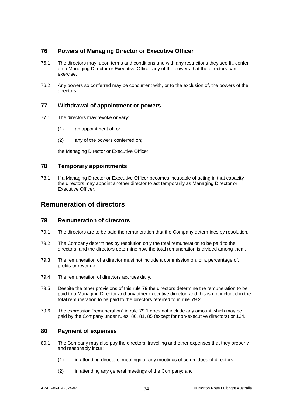### **76 Powers of Managing Director or Executive Officer**

- 76.1 The directors may, upon terms and conditions and with any restrictions they see fit, confer on a Managing Director or Executive Officer any of the powers that the directors can exercise.
- 76.2 Any powers so conferred may be concurrent with, or to the exclusion of, the powers of the directors.

### **77 Withdrawal of appointment or powers**

- 77.1 The directors may revoke or vary:
	- (1) an appointment of; or
	- (2) any of the powers conferred on;

the Managing Director or Executive Officer.

### **78 Temporary appointments**

78.1 If a Managing Director or Executive Officer becomes incapable of acting in that capacity the directors may appoint another director to act temporarily as Managing Director or Executive Officer.

### <span id="page-38-0"></span>**Remuneration of directors**

#### **79 Remuneration of directors**

- <span id="page-38-2"></span><span id="page-38-1"></span>79.1 The directors are to be paid the remuneration that the Company determines by resolution.
- 79.2 The Company determines by resolution only the total remuneration to be paid to the directors, and the directors determine how the total remuneration is divided among them.
- 79.3 The remuneration of a director must not include a commission on, or a percentage of, profits or revenue.
- 79.4 The remuneration of directors accrues daily.
- 79.5 Despite the other provisions of this rule [79](#page-38-0) the directors determine the remuneration to be paid to a Managing Director and any other executive director, and this is not included in the total remuneration to be paid to the directors referred to in rule [79.2.](#page-38-1)
- 79.6 The expression "remuneration" in rule [79.1](#page-38-2) does not include any amount which may be paid by the Company under rules [80,](#page-38-3) [81,](#page-39-0) [85](#page-40-0) (except for non-executive directors) or [134.](#page-56-0)

### <span id="page-38-3"></span>**80 Payment of expenses**

- 80.1 The Company may also pay the directors' travelling and other expenses that they properly and reasonably incur:
	- (1) in attending directors' meetings or any meetings of committees of directors;
	- (2) in attending any general meetings of the Company; and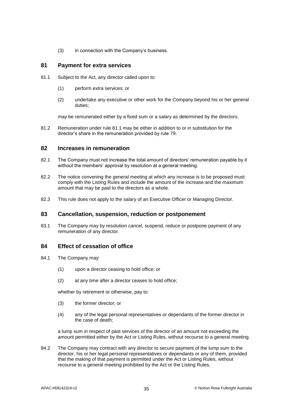$(3)$  in connection with the Company's business.

### <span id="page-39-0"></span>**81 Payment for extra services**

- <span id="page-39-1"></span>81.1 Subject to the Act, any director called upon to:
	- (1) perform extra services; or
	- (2) undertake any executive or other work for the Company beyond his or her general duties;

may be remunerated either by a fixed sum or a salary as determined by the directors.

81.2 Remuneration under rule [81.1](#page-39-1) may be either in addition to or in substitution for the director's share in the remuneration provided by rule [79.](#page-38-0)

### **82 Increases in remuneration**

- 82.1 The Company must not increase the total amount of directors' remuneration payable by it without the members' approval by resolution at a general meeting.
- 82.2 The notice convening the general meeting at which any increase is to be proposed must comply with the Listing Rules and include the amount of the increase and the maximum amount that may be paid to the directors as a whole.
- 82.3 This rule does not apply to the salary of an Executive Officer or Managing Director.

### **83 Cancellation, suspension, reduction or postponement**

83.1 The Company may by resolution cancel, suspend, reduce or postpone payment of any remuneration of any director.

### **84 Effect of cessation of office**

- <span id="page-39-2"></span>84.1 The Company may:
	- (1) upon a director ceasing to hold office; or
	- (2) at any time after a director ceases to hold office;

whether by retirement or otherwise, pay to:

- (3) the former director; or
- (4) any of the legal personal representatives or dependants of the former director in the case of death;

a lump sum in respect of past services of the director of an amount not exceeding the amount permitted either by the Act or Listing Rules, without recourse to a general meeting.

84.2 The Company may contract with any director to secure payment of the lump sum to the director, his or her legal personal representatives or dependants or any of them, provided that the making of that payment is permitted under the Act or Listing Rules, without recourse to a general meeting prohibited by the Act or the Listing Rules.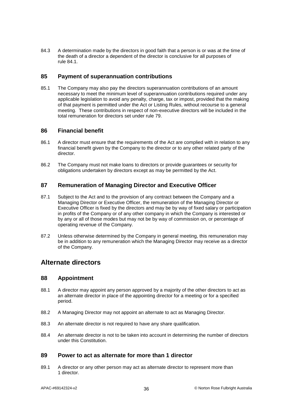84.3 A determination made by the directors in good faith that a person is or was at the time of the death of a director a dependent of the director is conclusive for all purposes of rule [84.1.](#page-39-2)

### <span id="page-40-0"></span>**85 Payment of superannuation contributions**

85.1 The Company may also pay the directors superannuation contributions of an amount necessary to meet the minimum level of superannuation contributions required under any applicable legislation to avoid any penalty, charge, tax or impost, provided that the making of that payment is permitted under the Act or Listing Rules, without recourse to a general meeting. These contributions in respect of non-executive directors will be included in the total remuneration for directors set under rule [79.](#page-38-0)

### **86 Financial benefit**

- 86.1 A director must ensure that the requirements of the Act are complied with in relation to any financial benefit given by the Company to the director or to any other related party of the director.
- 86.2 The Company must not make loans to directors or provide guarantees or security for obligations undertaken by directors except as may be permitted by the Act.

### **87 Remuneration of Managing Director and Executive Officer**

- 87.1 Subject to the Act and to the provision of any contract between the Company and a Managing Director or Executive Officer, the remuneration of the Managing Director or Executive Officer is fixed by the directors and may be by way of fixed salary or participation in profits of the Company or of any other company in which the Company is interested or by any or all of those modes but may not be by way of commission on, or percentage of operating revenue of the Company.
- 87.2 Unless otherwise determined by the Company in general meeting, this remuneration may be in addition to any remuneration which the Managing Director may receive as a director of the Company.

### <span id="page-40-1"></span>**Alternate directors**

### **88 Appointment**

- 88.1 A director may appoint any person approved by a majority of the other directors to act as an alternate director in place of the appointing director for a meeting or for a specified period.
- 88.2 A Managing Director may not appoint an alternate to act as Managing Director.
- 88.3 An alternate director is not required to have any share qualification.
- 88.4 An alternate director is not to be taken into account in determining the number of directors under this Constitution.

#### **89 Power to act as alternate for more than 1 director**

89.1 A director or any other person may act as alternate director to represent more than 1 director.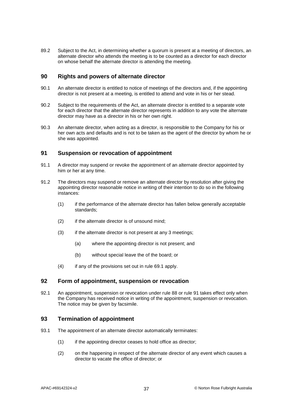89.2 Subject to the Act, in determining whether a quorum is present at a meeting of directors, an alternate director who attends the meeting is to be counted as a director for each director on whose behalf the alternate director is attending the meeting.

### **90 Rights and powers of alternate director**

- 90.1 An alternate director is entitled to notice of meetings of the directors and, if the appointing director is not present at a meeting, is entitled to attend and vote in his or her stead.
- 90.2 Subject to the requirements of the Act, an alternate director is entitled to a separate vote for each director that the alternate director represents in addition to any vote the alternate director may have as a director in his or her own right.
- 90.3 An alternate director, when acting as a director, is responsible to the Company for his or her own acts and defaults and is not to be taken as the agent of the director by whom he or she was appointed.

#### <span id="page-41-0"></span>**91 Suspension or revocation of appointment**

- 91.1 A director may suspend or revoke the appointment of an alternate director appointed by him or her at any time.
- 91.2 The directors may suspend or remove an alternate director by resolution after giving the appointing director reasonable notice in writing of their intention to do so in the following instances:
	- (1) if the performance of the alternate director has fallen below generally acceptable standards;
	- (2) if the alternate director is of unsound mind;
	- (3) if the alternate director is not present at any 3 meetings;
		- (a) where the appointing director is not present; and
		- (b) without special leave the of the board; or
	- (4) if any of the provisions set out in rule [69.1](#page-36-2) apply.

### **92 Form of appointment, suspension or revocation**

92.1 An appointment, suspension or revocation under rule [88](#page-40-1) or rule [91](#page-41-0) takes effect only when the Company has received notice in writing of the appointment, suspension or revocation. The notice may be given by facsimile.

### **93 Termination of appointment**

- 93.1 The appointment of an alternate director automatically terminates:
	- (1) if the appointing director ceases to hold office as director;
	- (2) on the happening in respect of the alternate director of any event which causes a director to vacate the office of director; or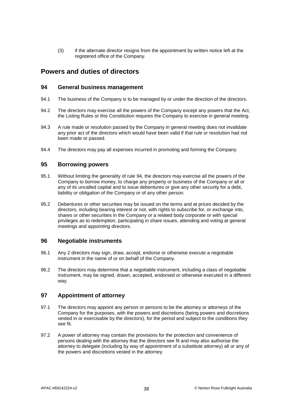(3) if the alternate director resigns from the appointment by written notice left at the registered office of the Company.

### <span id="page-42-0"></span>**Powers and duties of directors**

### **94 General business management**

- 94.1 The business of the Company is to be managed by or under the direction of the directors.
- 94.2 The directors may exercise all the powers of the Company except any powers that the Act, the Listing Rules or this Constitution requires the Company to exercise in general meeting.
- 94.3 A rule made or resolution passed by the Company in general meeting does not invalidate any prior act of the directors which would have been valid if that rule or resolution had not been made or passed.
- 94.4 The directors may pay all expenses incurred in promoting and forming the Company.

### **95 Borrowing powers**

- 95.1 Without limiting the generality of rule [94,](#page-42-0) the directors may exercise all the powers of the Company to borrow money, to charge any property or business of the Company or all or any of its uncalled capital and to issue debentures or give any other security for a debt, liability or obligation of the Company or of any other person.
- 95.2 Debentures or other securities may be issued on the terms and at prices decided by the directors, including bearing interest or not, with rights to subscribe for, or exchange into, shares or other securities in the Company or a related body corporate or with special privileges as to redemption, participating in share issues, attending and voting at general meetings and appointing directors.

### **96 Negotiable instruments**

- 96.1 Any 2 directors may sign, draw, accept, endorse or otherwise execute a negotiable instrument in the name of or on behalf of the Company.
- 96.2 The directors may determine that a negotiable instrument, including a class of negotiable instrument, may be signed, drawn, accepted, endorsed or otherwise executed in a different way.

### **97 Appointment of attorney**

- 97.1 The directors may appoint any person or persons to be the attorney or attorneys of the Company for the purposes, with the powers and discretions (being powers and discretions vested in or exercisable by the directors), for the period and subject to the conditions they see fit.
- 97.2 A power of attorney may contain the provisions for the protection and convenience of persons dealing with the attorney that the directors see fit and may also authorise the attorney to delegate (including by way of appointment of a substitute attorney) all or any of the powers and discretions vested in the attorney.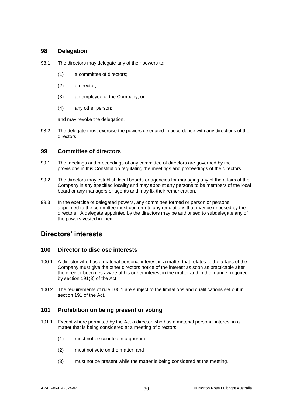### **98 Delegation**

- 98.1 The directors may delegate any of their powers to:
	- (1) a committee of directors;
	- (2) a director;
	- (3) an employee of the Company; or
	- (4) any other person;

and may revoke the delegation.

98.2 The delegate must exercise the powers delegated in accordance with any directions of the directors.

### **99 Committee of directors**

- 99.1 The meetings and proceedings of any committee of directors are governed by the provisions in this Constitution regulating the meetings and proceedings of the directors.
- 99.2 The directors may establish local boards or agencies for managing any of the affairs of the Company in any specified locality and may appoint any persons to be members of the local board or any managers or agents and may fix their remuneration.
- 99.3 In the exercise of delegated powers, any committee formed or person or persons appointed to the committee must conform to any regulations that may be imposed by the directors. A delegate appointed by the directors may be authorised to subdelegate any of the powers vested in them.

### **Directors' interests**

### **100 Director to disclose interests**

- <span id="page-43-0"></span>100.1 A director who has a material personal interest in a matter that relates to the affairs of the Company must give the other directors notice of the interest as soon as practicable after the director becomes aware of his or her interest in the matter and in the manner required by section 191(3) of the Act.
- 100.2 The requirements of rule [100.1](#page-43-0) are subject to the limitations and qualifications set out in section 191 of the Act.

### **101 Prohibition on being present or voting**

- <span id="page-43-1"></span>101.1 Except where permitted by the Act a director who has a material personal interest in a matter that is being considered at a meeting of directors:
	- (1) must not be counted in a quorum;
	- (2) must not vote on the matter; and
	- (3) must not be present while the matter is being considered at the meeting.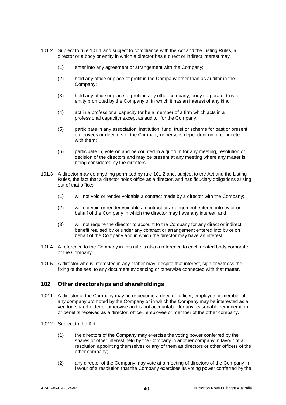- <span id="page-44-0"></span>101.2 Subject to rule [101.1](#page-43-1) and subject to compliance with the Act and the Listing Rules, a director or a body or entity in which a director has a direct or indirect interest may:
	- (1) enter into any agreement or arrangement with the Company;
	- (2) hold any office or place of profit in the Company other than as auditor in the Company;
	- (3) hold any office or place of profit in any other company, body corporate, trust or entity promoted by the Company or in which it has an interest of any kind;
	- (4) act in a professional capacity (or be a member of a firm which acts in a professional capacity) except as auditor for the Company;
	- (5) participate in any association, institution, fund, trust or scheme for past or present employees or directors of the Company or persons dependent on or connected with them;
	- (6) participate in, vote on and be counted in a quorum for any meeting, resolution or decision of the directors and may be present at any meeting where any matter is being considered by the directors.
- 101.3 A director may do anything permitted by rule [101.2](#page-44-0) and, subject to the Act and the Listing Rules, the fact that a director holds office as a director, and has fiduciary obligations arising out of that office:
	- (1) will not void or render voidable a contract made by a director with the Company;
	- (2) will not void or render voidable a contract or arrangement entered into by or on behalf of the Company in which the director may have any interest; and
	- (3) will not require the director to account to the Company for any direct or indirect benefit realised by or under any contract or arrangement entered into by or on behalf of the Company and in which the director may have an interest.
- 101.4 A reference to the Company in this rule is also a reference to each related body corporate of the Company.
- 101.5 A director who is interested in any matter may, despite that interest, sign or witness the fixing of the seal to any document evidencing or otherwise connected with that matter.

### **102 Other directorships and shareholdings**

- 102.1 A director of the Company may be or become a director, officer, employee or member of any company promoted by the Company or in which the Company may be interested as a vendor, shareholder or otherwise and is not accountable for any reasonable remuneration or benefits received as a director, officer, employee or member of the other company.
- 102.2 Subject to the Act:
	- (1) the directors of the Company may exercise the voting power conferred by the shares or other interest held by the Company in another company in favour of a resolution appointing themselves or any of them as directors or other officers of the other company;
	- (2) any director of the Company may vote at a meeting of directors of the Company in favour of a resolution that the Company exercises its voting power conferred by the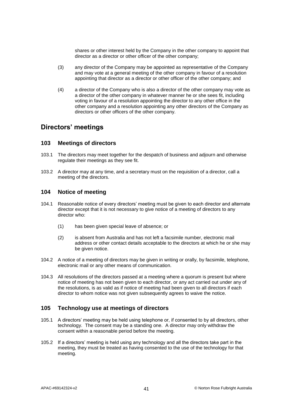shares or other interest held by the Company in the other company to appoint that director as a director or other officer of the other company;

- (3) any director of the Company may be appointed as representative of the Company and may vote at a general meeting of the other company in favour of a resolution appointing that director as a director or other officer of the other company; and
- (4) a director of the Company who is also a director of the other company may vote as a director of the other company in whatever manner he or she sees fit, including voting in favour of a resolution appointing the director to any other office in the other company and a resolution appointing any other directors of the Company as directors or other officers of the other company.

### **Directors' meetings**

#### **103 Meetings of directors**

- 103.1 The directors may meet together for the despatch of business and adjourn and otherwise regulate their meetings as they see fit.
- 103.2 A director may at any time, and a secretary must on the requisition of a director, call a meeting of the directors.

### **104 Notice of meeting**

- 104.1 Reasonable notice of every directors' meeting must be given to each director and alternate director except that it is not necessary to give notice of a meeting of directors to any director who:
	- (1) has been given special leave of absence; or
	- (2) is absent from Australia and has not left a facsimile number, electronic mail address or other contact details acceptable to the directors at which he or she may be given notice.
- 104.2 A notice of a meeting of directors may be given in writing or orally, by facsimile, telephone, electronic mail or any other means of communication.
- 104.3 All resolutions of the directors passed at a meeting where a quorum is present but where notice of meeting has not been given to each director, or any act carried out under any of the resolutions, is as valid as if notice of meeting had been given to all directors if each director to whom notice was not given subsequently agrees to waive the notice.

### **105 Technology use at meetings of directors**

- 105.1 A directors' meeting may be held using telephone or, if consented to by all directors, other technology. The consent may be a standing one. A director may only withdraw the consent within a reasonable period before the meeting.
- 105.2 If a directors' meeting is held using any technology and all the directors take part in the meeting, they must be treated as having consented to the use of the technology for that meeting.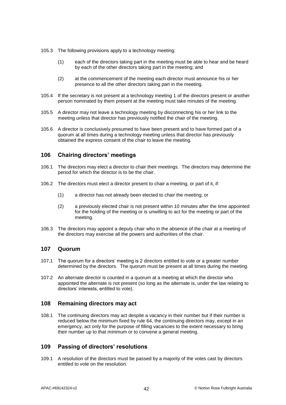- 105.3 The following provisions apply to a technology meeting:
	- (1) each of the directors taking part in the meeting must be able to hear and be heard by each of the other directors taking part in the meeting; and
	- (2) at the commencement of the meeting each director must announce his or her presence to all the other directors taking part in the meeting.
- 105.4 If the secretary is not present at a technology meeting 1 of the directors present or another person nominated by them present at the meeting must take minutes of the meeting.
- 105.5 A director may not leave a technology meeting by disconnecting his or her link to the meeting unless that director has previously notified the chair of the meeting.
- 105.6 A director is conclusively presumed to have been present and to have formed part of a quorum at all times during a technology meeting unless that director has previously obtained the express consent of the chair to leave the meeting.

### **106 Chairing directors' meetings**

- 106.1 The directors may elect a director to chair their meetings. The directors may determine the period for which the director is to be the chair.
- 106.2 The directors must elect a director present to chair a meeting, or part of it, if:
	- (1) a director has not already been elected to chair the meeting; or
	- (2) a previously elected chair is not present within 10 minutes after the time appointed for the holding of the meeting or is unwilling to act for the meeting or part of the meeting.
- 106.3 The directors may appoint a deputy chair who in the absence of the chair at a meeting of the directors may exercise all the powers and authorities of the chair.

#### **107 Quorum**

- 107.1 The quorum for a directors' meeting is 2 directors entitled to vote or a greater number determined by the directors. The quorum must be present at all times during the meeting.
- 107.2 An alternate director is counted in a quorum at a meeting at which the director who appointed the alternate is not present (so long as the alternate is, under the law relating to directors' interests, entitled to vote).

### **108 Remaining directors may act**

108.1 The continuing directors may act despite a vacancy in their number but if their number is reduced below the minimum fixed by rule [64,](#page-35-5) the continuing directors may, except in an emergency, act only for the purpose of filling vacancies to the extent necessary to bring their number up to that minimum or to convene a general meeting.

### **109 Passing of directors' resolutions**

109.1 A resolution of the directors must be passed by a majority of the votes cast by directors entitled to vote on the resolution.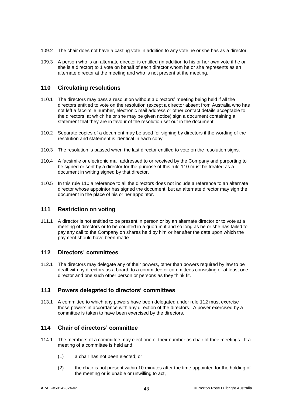- 109.2 The chair does not have a casting vote in addition to any vote he or she has as a director.
- 109.3 A person who is an alternate director is entitled (in addition to his or her own vote if he or she is a director) to 1 vote on behalf of each director whom he or she represents as an alternate director at the meeting and who is not present at the meeting.

### <span id="page-47-0"></span>**110 Circulating resolutions**

- 110.1 The directors may pass a resolution without a directors' meeting being held if all the directors entitled to vote on the resolution (except a director absent from Australia who has not left a facsimile number, electronic mail address or other contact details acceptable to the directors, at which he or she may be given notice) sign a document containing a statement that they are in favour of the resolution set out in the document.
- 110.2 Separate copies of a document may be used for signing by directors if the wording of the resolution and statement is identical in each copy.
- 110.3 The resolution is passed when the last director entitled to vote on the resolution signs.
- 110.4 A facsimile or electronic mail addressed to or received by the Company and purporting to be signed or sent by a director for the purpose of this rule [110](#page-47-0) must be treated as a document in writing signed by that director.
- 110.5 In this rule [110](#page-47-0) a reference to all the directors does not include a reference to an alternate director whose appointor has signed the document, but an alternate director may sign the document in the place of his or her appointor.

### **111 Restriction on voting**

111.1 A director is not entitled to be present in person or by an alternate director or to vote at a meeting of directors or to be counted in a quorum if and so long as he or she has failed to pay any call to the Company on shares held by him or her after the date upon which the payment should have been made.

### <span id="page-47-1"></span>**112 Directors' committees**

112.1 The directors may delegate any of their powers, other than powers required by law to be dealt with by directors as a board, to a committee or committees consisting of at least one director and one such other person or persons as they think fit.

### **113 Powers delegated to directors' committees**

113.1 A committee to which any powers have been delegated under rule [112](#page-47-1) must exercise those powers in accordance with any direction of the directors. A power exercised by a committee is taken to have been exercised by the directors.

### **114 Chair of directors' committee**

- 114.1 The members of a committee may elect one of their number as chair of their meetings. If a meeting of a committee is held and:
	- (1) a chair has not been elected; or
	- (2) the chair is not present within 10 minutes after the time appointed for the holding of the meeting or is unable or unwilling to act,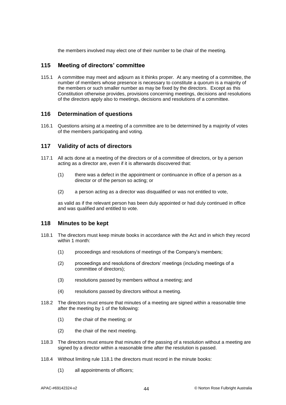the members involved may elect one of their number to be chair of the meeting.

### **115 Meeting of directors' committee**

115.1 A committee may meet and adjourn as it thinks proper. At any meeting of a committee, the number of members whose presence is necessary to constitute a quorum is a majority of the members or such smaller number as may be fixed by the directors. Except as this Constitution otherwise provides, provisions concerning meetings, decisions and resolutions of the directors apply also to meetings, decisions and resolutions of a committee.

### **116 Determination of questions**

116.1 Questions arising at a meeting of a committee are to be determined by a majority of votes of the members participating and voting.

### **117 Validity of acts of directors**

- 117.1 All acts done at a meeting of the directors or of a committee of directors, or by a person acting as a director are, even if it is afterwards discovered that:
	- (1) there was a defect in the appointment or continuance in office of a person as a director or of the person so acting; or
	- (2) a person acting as a director was disqualified or was not entitled to vote,

as valid as if the relevant person has been duly appointed or had duly continued in office and was qualified and entitled to vote.

#### <span id="page-48-0"></span>**118 Minutes to be kept**

- 118.1 The directors must keep minute books in accordance with the Act and in which they record within 1 month:
	- (1) proceedings and resolutions of meetings of the Company's members;
	- (2) proceedings and resolutions of directors' meetings (including meetings of a committee of directors);
	- (3) resolutions passed by members without a meeting; and
	- (4) resolutions passed by directors without a meeting.
- 118.2 The directors must ensure that minutes of a meeting are signed within a reasonable time after the meeting by 1 of the following:
	- (1) the chair of the meeting; or
	- (2) the chair of the next meeting.
- 118.3 The directors must ensure that minutes of the passing of a resolution without a meeting are signed by a director within a reasonable time after the resolution is passed.
- 118.4 Without limiting rule [118.1](#page-48-0) the directors must record in the minute books:
	- (1) all appointments of officers;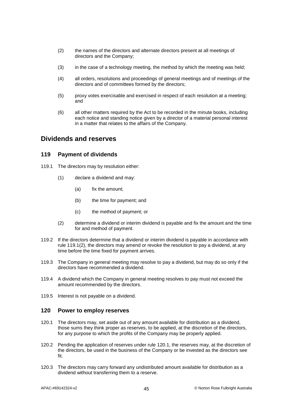- (2) the names of the directors and alternate directors present at all meetings of directors and the Company;
- (3) in the case of a technology meeting, the method by which the meeting was held;
- (4) all orders, resolutions and proceedings of general meetings and of meetings of the directors and of committees formed by the directors;
- (5) proxy votes exercisable and exercised in respect of each resolution at a meeting; and
- (6) all other matters required by the Act to be recorded in the minute books, including each notice and standing notice given by a director of a material personal interest in a matter that relates to the affairs of the Company.

### **Dividends and reserves**

### **119 Payment of dividends**

- 119.1 The directors may by resolution either:
	- (1) declare a dividend and may:
		- (a) fix the amount;
		- (b) the time for payment; and
		- (c) the method of payment; or
	- (2) determine a dividend or interim dividend is payable and fix the amount and the time for and method of payment.
- <span id="page-49-0"></span>119.2 If the directors determine that a dividend or interim dividend is payable in accordance with rule [119.1\(2\),](#page-49-0) the directors may amend or revoke the resolution to pay a dividend, at any time before the time fixed for payment arrives.
- 119.3 The Company in general meeting may resolve to pay a dividend, but may do so only if the directors have recommended a dividend.
- 119.4 A dividend which the Company in general meeting resolves to pay must not exceed the amount recommended by the directors.
- 119.5 Interest is not payable on a dividend.

#### <span id="page-49-1"></span>**120 Power to employ reserves**

- 120.1 The directors may, set aside out of any amount available for distribution as a dividend, those sums they think proper as reserves, to be applied, at the discretion of the directors, for any purpose to which the profits of the Company may be properly applied.
- 120.2 Pending the application of reserves under rule [120.1,](#page-49-1) the reserves may, at the discretion of the directors, be used in the business of the Company or be invested as the directors see fit.
- 120.3 The directors may carry forward any undistributed amount available for distribution as a dividend without transferring them to a reserve.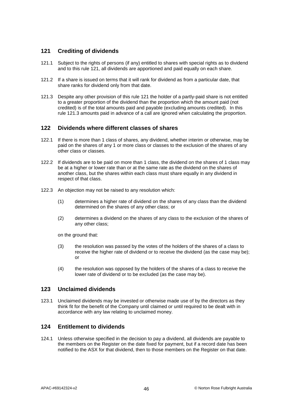### <span id="page-50-0"></span>**121 Crediting of dividends**

- 121.1 Subject to the rights of persons (if any) entitled to shares with special rights as to dividend and to this rule [121,](#page-50-0) all dividends are apportioned and paid equally on each share.
- 121.2 If a share is issued on terms that it will rank for dividend as from a particular date, that share ranks for dividend only from that date.
- <span id="page-50-1"></span>121.3 Despite any other provision of this rule [121](#page-50-0) the holder of a partly-paid share is not entitled to a greater proportion of the dividend than the proportion which the amount paid (not credited) is of the total amounts paid and payable (excluding amounts credited). In this rule [121.3](#page-50-1) amounts paid in advance of a call are ignored when calculating the proportion.

### **122 Dividends where different classes of shares**

- 122.1 If there is more than 1 class of shares, any dividend, whether interim or otherwise, may be paid on the shares of any 1 or more class or classes to the exclusion of the shares of any other class or classes.
- 122.2 If dividends are to be paid on more than 1 class, the dividend on the shares of 1 class may be at a higher or lower rate than or at the same rate as the dividend on the shares of another class, but the shares within each class must share equally in any dividend in respect of that class.
- 122.3 An objection may not be raised to any resolution which:
	- (1) determines a higher rate of dividend on the shares of any class than the dividend determined on the shares of any other class; or
	- (2) determines a dividend on the shares of any class to the exclusion of the shares of any other class;

on the ground that:

- (3) the resolution was passed by the votes of the holders of the shares of a class to receive the higher rate of dividend or to receive the dividend (as the case may be); or
- (4) the resolution was opposed by the holders of the shares of a class to receive the lower rate of dividend or to be excluded (as the case may be).

### **123 Unclaimed dividends**

123.1 Unclaimed dividends may be invested or otherwise made use of by the directors as they think fit for the benefit of the Company until claimed or until required to be dealt with in accordance with any law relating to unclaimed money.

### **124 Entitlement to dividends**

124.1 Unless otherwise specified in the decision to pay a dividend, all dividends are payable to the members on the Register on the date fixed for payment, but if a record date has been notified to the ASX for that dividend, then to those members on the Register on that date.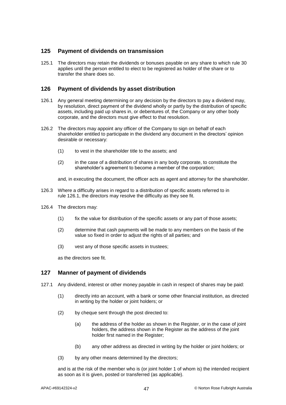### **125 Payment of dividends on transmission**

125.1 The directors may retain the dividends or bonuses payable on any share to which rule [30](#page-21-2) applies until the person entitled to elect to be registered as holder of the share or to transfer the share does so.

### **126 Payment of dividends by asset distribution**

- <span id="page-51-0"></span>126.1 Any general meeting determining or any decision by the directors to pay a dividend may, by resolution, direct payment of the dividend wholly or partly by the distribution of specific assets, including paid up shares in, or debentures of, the Company or any other body corporate, and the directors must give effect to that resolution.
- 126.2 The directors may appoint any officer of the Company to sign on behalf of each shareholder entitled to participate in the dividend any document in the directors' opinion desirable or necessary:
	- (1) to vest in the shareholder title to the assets; and
	- (2) in the case of a distribution of shares in any body corporate, to constitute the shareholder's agreement to become a member of the corporation;
	- and, in executing the document, the officer acts as agent and attorney for the shareholder.
- 126.3 Where a difficulty arises in regard to a distribution of specific assets referred to in rule [126.1,](#page-51-0) the directors may resolve the difficulty as they see fit.
- 126.4 The directors may:
	- (1) fix the value for distribution of the specific assets or any part of those assets;
	- (2) determine that cash payments will be made to any members on the basis of the value so fixed in order to adjust the rights of all parties; and
	- (3) vest any of those specific assets in trustees;

as the directors see fit.

### **127 Manner of payment of dividends**

- 127.1 Any dividend, interest or other money payable in cash in respect of shares may be paid:
	- (1) directly into an account, with a bank or some other financial institution, as directed in writing by the holder or joint holders; or
	- (2) by cheque sent through the post directed to:
		- (a) the address of the holder as shown in the Register, or in the case of joint holders, the address shown in the Register as the address of the joint holder first named in the Register;
		- (b) any other address as directed in writing by the holder or joint holders; or
	- (3) by any other means determined by the directors;

and is at the risk of the member who is (or joint holder 1 of whom is) the intended recipient as soon as it is given, posted or transferred (as applicable).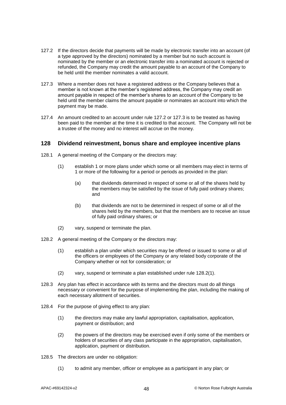- <span id="page-52-1"></span>127.2 If the directors decide that payments will be made by electronic transfer into an account (of a type approved by the directors) nominated by a member but no such account is nominated by the member or an electronic transfer into a nominated account is rejected or refunded, the Company may credit the amount payable to an account of the Company to be held until the member nominates a valid account.
- <span id="page-52-2"></span>127.3 Where a member does not have a registered address or the Company believes that a member is not known at the member's registered address, the Company may credit an amount payable in respect of the member's shares to an account of the Company to be held until the member claims the amount payable or nominates an account into which the payment may be made.
- 127.4 An amount credited to an account under rule [127.2](#page-52-1) or [127.3](#page-52-2) is to be treated as having been paid to the member at the time it is credited to that account. The Company will not be a trustee of the money and no interest will accrue on the money.

### <span id="page-52-4"></span>**128 Dividend reinvestment, bonus share and employee incentive plans**

- 128.1 A general meeting of the Company or the directors may:
	- (1) establish 1 or more plans under which some or all members may elect in terms of 1 or more of the following for a period or periods as provided in the plan:
		- (a) that dividends determined in respect of some or all of the shares held by the members may be satisfied by the issue of fully paid ordinary shares; and
		- (b) that dividends are not to be determined in respect of some or all of the shares held by the members, but that the members are to receive an issue of fully paid ordinary shares; or
	- (2) vary, suspend or terminate the plan.
- <span id="page-52-3"></span>128.2 A general meeting of the Company or the directors may:
	- (1) establish a plan under which securities may be offered or issued to some or all of the officers or employees of the Company or any related body corporate of the Company whether or not for consideration; or
	- (2) vary, suspend or terminate a plan established under rule [128.2\(1\).](#page-52-3)
- 128.3 Any plan has effect in accordance with its terms and the directors must do all things necessary or convenient for the purpose of implementing the plan, including the making of each necessary allotment of securities.
- <span id="page-52-0"></span>128.4 For the purpose of giving effect to any plan:
	- (1) the directors may make any lawful appropriation, capitalisation, application, payment or distribution; and
	- (2) the powers of the directors may be exercised even if only some of the members or holders of securities of any class participate in the appropriation, capitalisation, application, payment or distribution.
- 128.5 The directors are under no obligation:
	- (1) to admit any member, officer or employee as a participant in any plan; or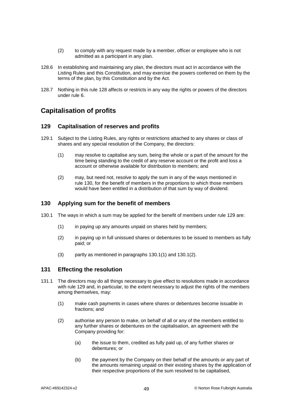- (2) to comply with any request made by a member, officer or employee who is not admitted as a participant in any plan.
- 128.6 In establishing and maintaining any plan, the directors must act in accordance with the Listing Rules and this Constitution, and may exercise the powers conferred on them by the terms of the plan, by this Constitution and by the Act.
- 128.7 Nothing in this rule [128](#page-52-4) affects or restricts in any way the rights or powers of the directors under rule [6.](#page-8-2)

# <span id="page-53-1"></span>**Capitalisation of profits**

### **129 Capitalisation of reserves and profits**

- 129.1 Subject to the Listing Rules, any rights or restrictions attached to any shares or class of shares and any special resolution of the Company, the directors:
	- (1) may resolve to capitalise any sum, being the whole or a part of the amount for the time being standing to the credit of any reserve account or the profit and loss a account or otherwise available for distribution to members; and
	- (2) may, but need not, resolve to apply the sum in any of the ways mentioned in rule [130,](#page-53-0) for the benefit of members in the proportions to which those members would have been entitled in a distribution of that sum by way of dividend.

### <span id="page-53-0"></span>**130 Applying sum for the benefit of members**

- <span id="page-53-2"></span>130.1 The ways in which a sum may be applied for the benefit of members under rule [129](#page-53-1) are:
	- (1) in paying up any amounts unpaid on shares held by members;
	- (2) in paying up in full unissued shares or debentures to be issued to members as fully paid; or
	- (3) partly as mentioned in paragraphs [130.1\(1\)](#page-53-2) and [130.1\(2\).](#page-53-2)

#### **131 Effecting the resolution**

- 131.1 The directors may do all things necessary to give effect to resolutions made in accordance with rule [129](#page-53-1) and, in particular, to the extent necessary to adjust the rights of the members among themselves, may:
	- (1) make cash payments in cases where shares or debentures become issuable in fractions; and
	- (2) authorise any person to make, on behalf of all or any of the members entitled to any further shares or debentures on the capitalisation, an agreement with the Company providing for:
		- (a) the issue to them, credited as fully paid up, of any further shares or debentures; or
		- (b) the payment by the Company on their behalf of the amounts or any part of the amounts remaining unpaid on their existing shares by the application of their respective proportions of the sum resolved to be capitalised,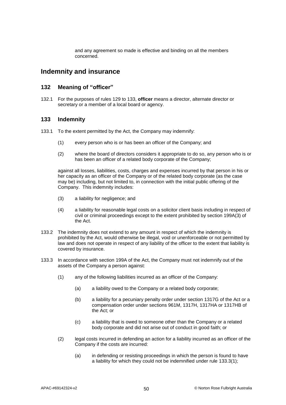and any agreement so made is effective and binding on all the members concerned.

### **Indemnity and insurance**

### **132 Meaning of "officer"**

132.1 For the purposes of rules [129](#page-53-1) to [133,](#page-54-0) **officer** means a director, alternate director or secretary or a member of a local board or agency.

### <span id="page-54-0"></span>**133 Indemnity**

- <span id="page-54-3"></span>133.1 To the extent permitted by the Act, the Company may indemnify:
	- (1) every person who is or has been an officer of the Company; and
	- (2) where the board of directors considers it appropriate to do so, any person who is or has been an officer of a related body corporate of the Company;

against all losses, liabilities, costs, charges and expenses incurred by that person in his or her capacity as an officer of the Company or of the related body corporate (as the case may be) including, but not limited to, in connection with the initial public offering of the Company. This indemnity includes:

- (3) a liability for negligence; and
- (4) a liability for reasonable legal costs on a solicitor client basis including in respect of civil or criminal proceedings except to the extent prohibited by section 199A(3) of the Act.
- 133.2 The indemnity does not extend to any amount in respect of which the indemnity is prohibited by the Act, would otherwise be illegal, void or unenforceable or not permitted by law and does not operate in respect of any liability of the officer to the extent that liability is covered by insurance.
- <span id="page-54-2"></span><span id="page-54-1"></span>133.3 In accordance with section 199A of the Act, the Company must not indemnify out of the assets of the Company a person against:
	- (1) any of the following liabilities incurred as an officer of the Company:
		- (a) a liability owed to the Company or a related body corporate;
		- (b) a liability for a pecuniary penalty order under section 1317G of the Act or a compensation order under sections 961M, 1317H, 1317HA or 1317HB of the Act; or
		- (c) a liability that is owed to someone other than the Company or a related body corporate and did not arise out of conduct in good faith; or
	- (2) legal costs incurred in defending an action for a liability incurred as an officer of the Company if the costs are incurred:
		- (a) in defending or resisting proceedings in which the person is found to have a liability for which they could not be indemnified under rule [133.3\(1\);](#page-54-1)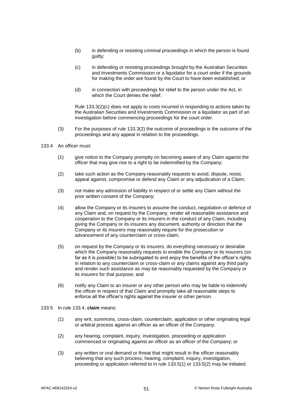- (b) in defending or resisting criminal proceedings in which the person is found guilty;
- <span id="page-55-0"></span>(c) in defending or resisting proceedings brought by the Australian Securities and Investments Commission or a liquidator for a court order if the grounds for making the order are found by the Court to have been established; or
- (d) in connection with proceedings for relief to the person under the Act, in which the Court denies the relief.

Rule [133.3\(2\)\(c\)](#page-55-0) does not apply to costs incurred in responding to actions taken by the Australian Securities and Investments Commission or a liquidator as part of an investigation before commencing proceedings for the court order.

- (3) For the purposes of rule [133.3\(2\)](#page-54-2) the outcome of proceedings is the outcome of the proceedings and any appeal in relation to the proceedings.
- <span id="page-55-1"></span>133.4 An officer must:
	- (1) give notice to the Company promptly on becoming aware of any Claim against the officer that may give rise to a right to be indemnified by the Company;
	- (2) take such action as the Company reasonably requests to avoid, dispute, resist, appeal against, compromise or defend any Claim or any adjudication of a Claim;
	- (3) not make any admission of liability in respect of or settle any Claim without the prior written consent of the Company;
	- (4) allow the Company or its insurers to assume the conduct, negotiation or defence of any Claim and, on request by the Company, render all reasonable assistance and cooperation to the Company or its insurers in the conduct of any Claim, including giving the Company or its insurers any document, authority or direction that the Company or its insurers may reasonably require for the prosecution or advancement of any counterclaim or cross-claim;
	- (5) on request by the Company or its insurers, do everything necessary or desirable which the Company reasonably requests to enable the Company or its insurers (so far as it is possible) to be subrogated to and enjoy the benefits of the officer's rights in relation to any counterclaim or cross-claim or any claims against any third party and render such assistance as may be reasonably requested by the Company or its insurers for that purpose; and
	- (6) notify any Claim to an insurer or any other person who may be liable to indemnify the officer in respect of that Claim and promptly take all reasonable steps to enforce all the officer's rights against the insurer or other person.
- <span id="page-55-3"></span><span id="page-55-2"></span>133.5 In rule [133.4,](#page-55-1) **claim** means:
	- (1) any writ, summons, cross-claim, counterclaim, application or other originating legal or arbitral process against an officer as an officer of the Company;
	- (2) any hearing, complaint, inquiry, investigation, proceeding or application commenced or originating against an officer as an officer of the Company; or
	- (3) any written or oral demand or threat that might result in the officer reasonably believing that any such process, hearing, complaint, inquiry, investigation, proceeding or application referred to in rule [133.5\(1\)](#page-55-2) or [133.5\(2\)](#page-55-3) may be initiated.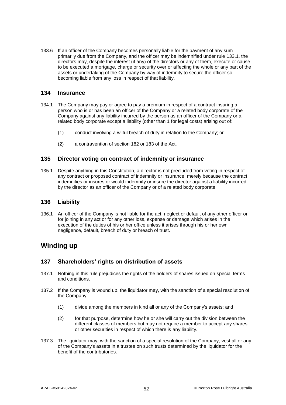133.6 If an officer of the Company becomes personally liable for the payment of any sum primarily due from the Company, and the officer may be indemnified under rule [133.1,](#page-54-3) the directors may, despite the interest (if any) of the directors or any of them, execute or cause to be executed a mortgage, charge or security over or affecting the whole or any part of the assets or undertaking of the Company by way of indemnity to secure the officer so becoming liable from any loss in respect of that liability.

### <span id="page-56-0"></span>**134 Insurance**

- 134.1 The Company may pay or agree to pay a premium in respect of a contract insuring a person who is or has been an officer of the Company or a related body corporate of the Company against any liability incurred by the person as an officer of the Company or a related body corporate except a liability (other than 1 for legal costs) arising out of:
	- (1) conduct involving a wilful breach of duty in relation to the Company; or
	- (2) a contravention of section 182 or 183 of the Act.

### **135 Director voting on contract of indemnity or insurance**

135.1 Despite anything in this Constitution, a director is not precluded from voting in respect of any contract or proposed contract of indemnity or insurance, merely because the contract indemnifies or insures or would indemnify or insure the director against a liability incurred by the director as an officer of the Company or of a related body corporate.

### **136 Liability**

136.1 An officer of the Company is not liable for the act, neglect or default of any other officer or for joining in any act or for any other loss, expense or damage which arises in the execution of the duties of his or her office unless it arises through his or her own negligence, default, breach of duty or breach of trust.

### **Winding up**

### **137 Shareholders' rights on distribution of assets**

- 137.1 Nothing in this rule prejudices the rights of the holders of shares issued on special terms and conditions.
- 137.2 If the Company is wound up, the liquidator may, with the sanction of a special resolution of the Company:
	- (1) divide among the members in kind all or any of the Company's assets; and
	- (2) for that purpose, determine how he or she will carry out the division between the different classes of members but may not require a member to accept any shares or other securities in respect of which there is any liability.
- 137.3 The liquidator may, with the sanction of a special resolution of the Company, vest all or any of the Company's assets in a trustee on such trusts determined by the liquidator for the benefit of the contributories.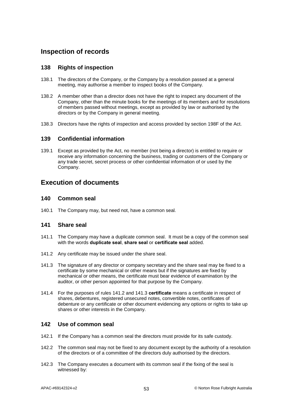# **Inspection of records**

### **138 Rights of inspection**

- 138.1 The directors of the Company, or the Company by a resolution passed at a general meeting, may authorise a member to inspect books of the Company.
- 138.2 A member other than a director does not have the right to inspect any document of the Company, other than the minute books for the meetings of its members and for resolutions of members passed without meetings, except as provided by law or authorised by the directors or by the Company in general meeting.
- 138.3 Directors have the rights of inspection and access provided by section 198F of the Act.

### **139 Confidential information**

139.1 Except as provided by the Act, no member (not being a director) is entitled to require or receive any information concerning the business, trading or customers of the Company or any trade secret, secret process or other confidential information of or used by the Company.

### **Execution of documents**

### **140 Common seal**

140.1 The Company may, but need not, have a common seal.

### **141 Share seal**

- 141.1 The Company may have a duplicate common seal. It must be a copy of the common seal with the words **duplicate seal**, **share seal** or **certificate seal** added.
- <span id="page-57-1"></span><span id="page-57-0"></span>141.2 Any certificate may be issued under the share seal.
- 141.3 The signature of any director or company secretary and the share seal may be fixed to a certificate by some mechanical or other means but if the signatures are fixed by mechanical or other means, the certificate must bear evidence of examination by the auditor, or other person appointed for that purpose by the Company.
- 141.4 For the purposes of rules [141.2](#page-57-0) and [141.3](#page-57-1) **certificate** means a certificate in respect of shares, debentures, registered unsecured notes, convertible notes, certificates of debenture or any certificate or other document evidencing any options or rights to take up shares or other interests in the Company.

### <span id="page-57-2"></span>**142 Use of common seal**

- 142.1 If the Company has a common seal the directors must provide for its safe custody.
- 142.2 The common seal may not be fixed to any document except by the authority of a resolution of the directors or of a committee of the directors duly authorised by the directors.
- 142.3 The Company executes a document with its common seal if the fixing of the seal is witnessed by: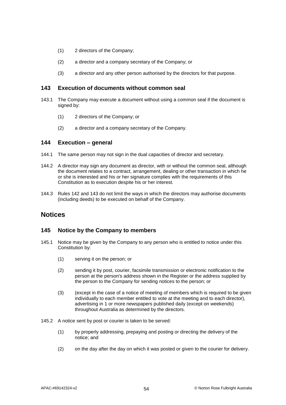- (1) 2 directors of the Company;
- (2) a director and a company secretary of the Company; or
- (3) a director and any other person authorised by the directors for that purpose.

### <span id="page-58-0"></span>**143 Execution of documents without common seal**

- 143.1 The Company may execute a document without using a common seal if the document is signed by:
	- (1) 2 directors of the Company; or
	- (2) a director and a company secretary of the Company.

### **144 Execution – general**

- 144.1 The same person may not sign in the dual capacities of director and secretary.
- 144.2 A director may sign any document as director, with or without the common seal, although the document relates to a contract, arrangement, dealing or other transaction in which he or she is interested and his or her signature complies with the requirements of this Constitution as to execution despite his or her interest.
- 144.3 Rules [142](#page-57-2) and [143](#page-58-0) do not limit the ways in which the directors may authorise documents (including deeds) to be executed on behalf of the Company.

### **Notices**

#### <span id="page-58-3"></span>**145 Notice by the Company to members**

- <span id="page-58-2"></span><span id="page-58-1"></span>145.1 Notice may be given by the Company to any person who is entitled to notice under this Constitution by:
	- (1) serving it on the person; or
	- (2) sending it by post, courier, facsimile transmission or electronic notification to the person at the person's address shown in the Register or the address supplied by the person to the Company for sending notices to the person; or
	- (3) (except in the case of a notice of meeting of members which is required to be given individually to each member entitled to vote at the meeting and to each director), advertising in 1 or more newspapers published daily (except on weekends) throughout Australia as determined by the directors.
- 145.2 A notice sent by post or courier is taken to be served:
	- (1) by properly addressing, prepaying and posting or directing the delivery of the notice; and
	- (2) on the day after the day on which it was posted or given to the courier for delivery.